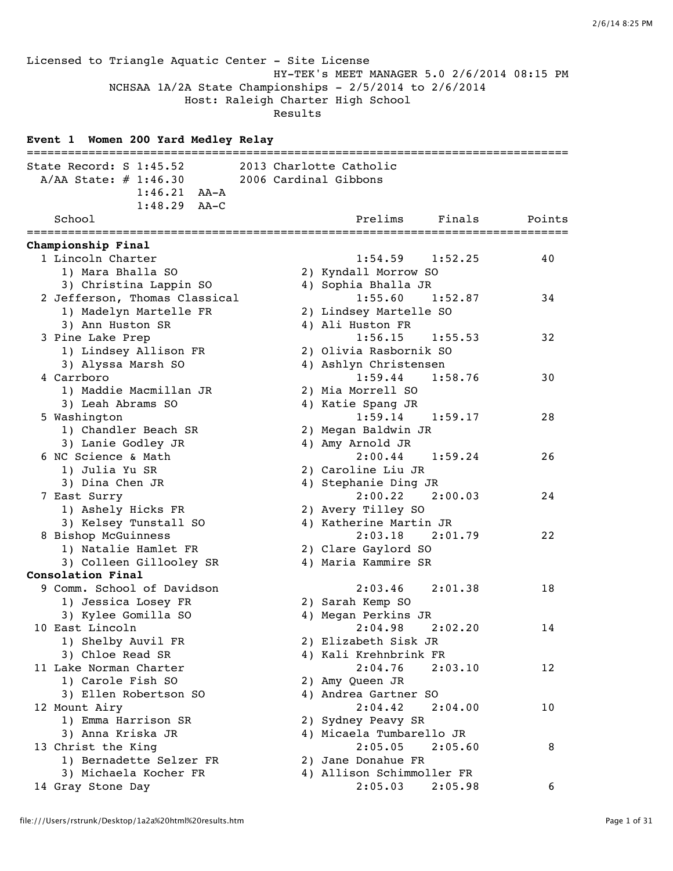Licensed to Triangle Aquatic Center - Site License HY-TEK's MEET MANAGER 5.0 2/6/2014 08:15 PM NCHSAA 1A/2A State Championships - 2/5/2014 to 2/6/2014 Host: Raleigh Charter High School Results **Event 1 Women 200 Yard Medley Relay** =============================================================================== State Record: S 1:45.52 2013 Charlotte Catholic A/AA State: # 1:46.30 2006 Cardinal Gibbons 1:46.21 AA-A 1:48.29 AA-C School **Prelims** Finals Points =============================================================================== **Championship Final** 1 Lincoln Charter 1:54.59 1:52.25 40 1) Mara Bhalla SO 2) Kyndall Morrow SO 3) Christina Lappin SO 4) Sophia Bhalla JR 2 Jefferson, Thomas Classical 1:55.60 1:52.87 34 1) Madelyn Martelle FR 2) Lindsey Martelle SO 3) Ann Huston SR 4) Ali Huston FR 3 Pine Lake Prep 1:56.15 1:55.53 32 1) Lindsey Allison FR 2) Olivia Rasbornik SO 3) Alyssa Marsh SO 4) Ashlyn Christensen 4 Carrboro 1:59.44 1:58.76 30 1) Maddie Macmillan JR 2) Mia Morrell SO 3) Leah Abrams SO 4) Katie Spang JR 5 Washington 1:59.14 1:59.17 28 1) Chandler Beach SR 2) Megan Baldwin JR 3) Lanie Godley JR 4) Amy Arnold JR 6 NC Science & Math 2:00.44 1:59.24 26 1) Julia Yu SR 2) Caroline Liu JR 3) Dina Chen JR 4) Stephanie Ding JR 7 East Surry 2:00.22 2:00.03 24 1) Ashely Hicks FR 2) Avery Tilley SO 3) Kelsey Tunstall SO 4) Katherine Martin JR 8 Bishop McGuinness 2:03.18 2:01.79 22 1) Natalie Hamlet FR 2) Clare Gaylord SO 3) Colleen Gillooley SR 4) Maria Kammire SR **Consolation Final** 9 Comm. School of Davidson 2:03.46 2:01.38 18 1) Jessica Losey FR 2) Sarah Kemp SO 3) Kylee Gomilla SO 4) Megan Perkins JR 10 East Lincoln 2:04.98 2:02.20 14 1) Shelby Auvil FR 2) Elizabeth Sisk JR 3) Chloe Read SR 4) Kali Krehnbrink FR 11 Lake Norman Charter 2:04.76 2:03.10 12 1) Carole Fish SO 2) Amy Queen JR 3) Ellen Robertson SO 4) Andrea Gartner SO 12 Mount Airy 2:04.42 2:04.00 10 1) Emma Harrison SR 2) Sydney Peavy SR 3) Anna Kriska JR 4) Micaela Tumbarello JR 13 Christ the King 2:05.05 2:05.60 8 1) Bernadette Selzer FR 2) Jane Donahue FR 3) Michaela Kocher FR 4) Allison Schimmoller FR 14 Gray Stone Day 2:05.03 2:05.98 6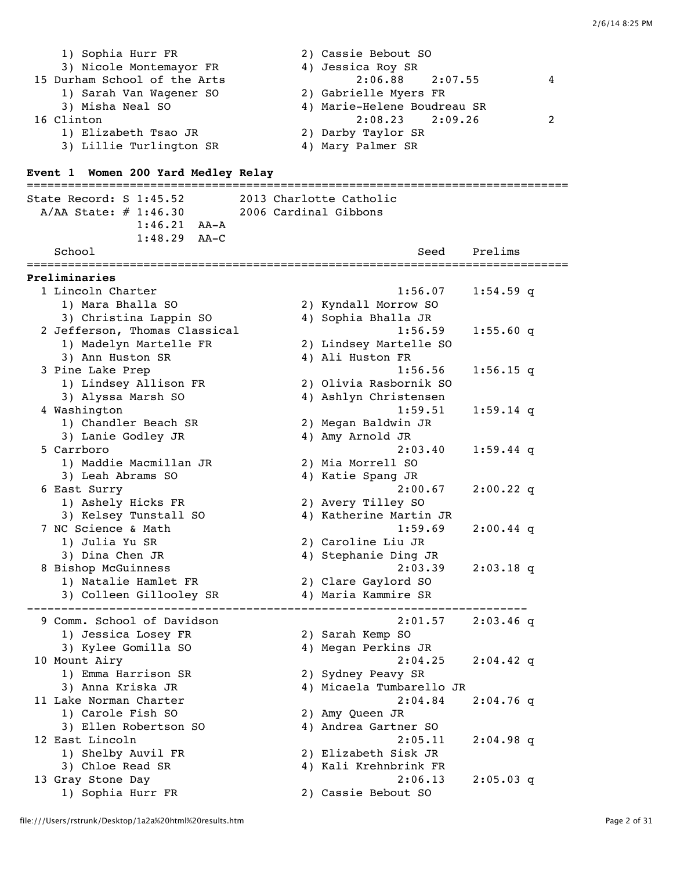| 1) Sophia Hurr FR            | 2) Cassie Bebout SO         |   |
|------------------------------|-----------------------------|---|
| 3) Nicole Montemayor FR      | 4) Jessica Roy SR           |   |
| 15 Durham School of the Arts | $2:06.88$ $2:07.55$         | 4 |
| 1) Sarah Van Wagener SO      | 2) Gabrielle Myers FR       |   |
| 3) Misha Neal SO             | 4) Marie-Helene Boudreau SR |   |
| 16 Clinton                   | $2:08.23$ $2:09.26$         |   |
| 1) Elizabeth Tsao JR         | 2) Darby Taylor SR          |   |
| 3) Lillie Turlington SR      | 4) Mary Palmer SR           |   |

## **Event 1 Women 200 Yard Medley Relay**

=============================================================================== State Record: S 1:45.52 2013 Charlotte Catholic A/AA State: # 1:46.30 2006 Cardinal Gibbons 1:46.21 AA-A 1:48.29 AA-C School Seed Prelims =============================================================================== **Preliminaries** 1 Lincoln Charter 1:56.07 1:54.59 q 1) Mara Bhalla SO 2) Kyndall Morrow SO 3) Christina Lappin SO 4) Sophia Bhalla JR 2 Jefferson, Thomas Classical 1:56.59 1:55.60 q 1) Madelyn Martelle FR 2) Lindsey Martelle SO 3) Ann Huston SR 4) Ali Huston FR 3 Pine Lake Prep 1:56.56 1:56.15 q 1) Lindsey Allison FR 2) Olivia Rasbornik SO 3) Alyssa Marsh SO 4) Ashlyn Christensen 4 Washington 1:59.51 1:59.14 q 1) Chandler Beach SR 2) Megan Baldwin JR 3) Lanie Godley JR 4) Amy Arnold JR 5 Carrboro 2:03.40 1:59.44 q 1) Maddie Macmillan JR 2) Mia Morrell SO 3) Leah Abrams SO 4) Katie Spang JR 6 East Surry 2:00.67 2:00.22 q 1) Ashely Hicks FR 2) Avery Tilley SO 3) Kelsey Tunstall SO 4) Katherine Martin JR 7 NC Science & Math 1:59.69 2:00.44 q 1) Julia Yu SR 2) Caroline Liu JR 3) Dina Chen JR 4) Stephanie Ding JR 8 Bishop McGuinness 2:03.39 2:03.18 q 1) Natalie Hamlet FR 2) Clare Gaylord SO 3) Colleen Gillooley SR 4) Maria Kammire SR ------------------------------------------------------------------------- 9 Comm. School of Davidson 2:01.57 2:03.46 q 1) Jessica Losey FR 2) Sarah Kemp SO 3) Kylee Gomilla SO 4) Megan Perkins JR 10 Mount Airy 2:04.25 2:04.42 q 1) Emma Harrison SR 2) Sydney Peavy SR 3) Anna Kriska JR 4) Micaela Tumbarello JR 11 Lake Norman Charter 2:04.84 2:04.76 q 1) Carole Fish SO 2) Amy Queen JR 3) Ellen Robertson SO 4) Andrea Gartner SO 12 East Lincoln 2:05.11 2:04.98 q 1) Shelby Auvil FR 2) Elizabeth Sisk JR 3) Chloe Read SR 4) Kali Krehnbrink FR 13 Gray Stone Day 2:06.13 2:05.03 q 1) Sophia Hurr FR 2) Cassie Bebout SO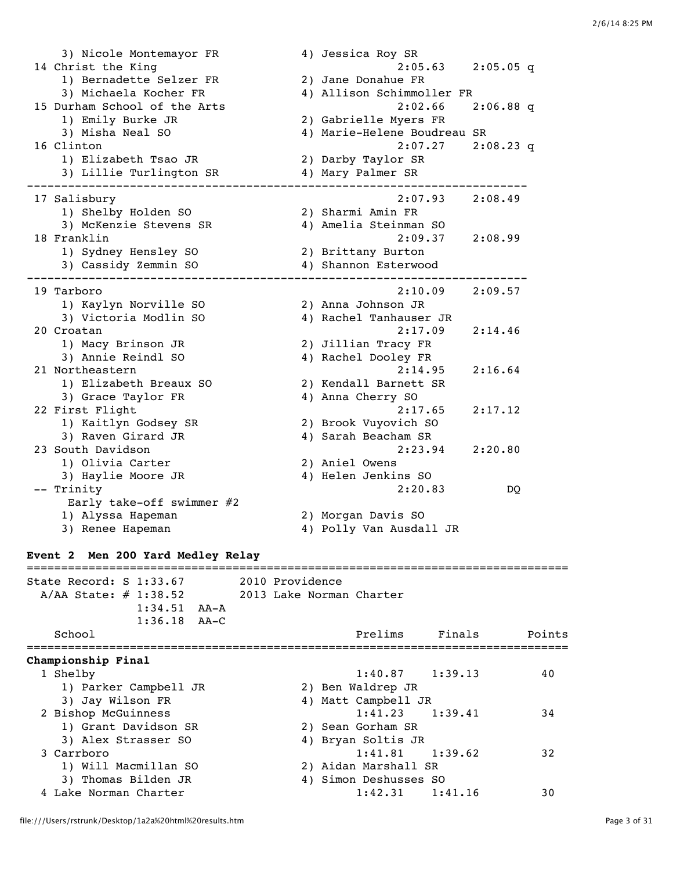3) Nicole Montemayor FR 4) Jessica Roy SR 14 Christ the King 2:05.63 2:05.05 q 1) Bernadette Selzer FR 2) Jane Donahue FR 3) Michaela Kocher FR 4) Allison Schimmoller FR 15 Durham School of the Arts 2:02.66 2:06.88 q 1) Emily Burke JR 2) Gabrielle Myers FR 3) Misha Neal SO 4) Marie-Helene Boudreau SR 16 Clinton 2:07.27 2:08.23 q 1) Elizabeth Tsao JR 2) Darby Taylor SR 3) Lillie Turlington SR 4) Mary Palmer SR ------------------------------------------------------------------------- 17 Salisbury 2:07.93 2:08.49 1) Shelby Holden SO 2) Sharmi Amin FR 3) McKenzie Stevens SR 4) Amelia Steinman SO 18 Franklin 2:09.37 2:08.99 1) Sydney Hensley SO 2) Brittany Burton 3) Cassidy Zemmin SO 4) Shannon Esterwood ------------------------------------------------------------------------- 19 Tarboro 2:10.09 2:09.57 1) Kaylyn Norville SO 2) Anna Johnson JR 3) Victoria Modlin SO 4) Rachel Tanhauser JR 20 Croatan 2:17.09 2:14.46 1) Macy Brinson JR 2) Jillian Tracy FR 3) Annie Reindl SO 4) Rachel Dooley FR 21 Northeastern 2:14.95 2:16.64 1) Elizabeth Breaux SO 2) Kendall Barnett SR 3) Grace Taylor FR 4) Anna Cherry SO 22 First Flight 2:17.65 2:17.12 1) Kaitlyn Godsey SR 2) Brook Vuyovich SO 3) Raven Girard JR 4) Sarah Beacham SR 23 South Davidson 2:23.94 2:20.80 1) Olivia Carter 3) Haylie Moore JR 4) Helen Jenkins SO -- Trinity 2:20.83 DQ Early take-off swimmer #2 1) Alyssa Hapeman 2) Morgan Davis SO 3) Renee Hapeman 4) Polly Van Ausdall JR **Event 2 Men 200 Yard Medley Relay** ===============================================================================

State Record: S 1:33.67 2010 Providence A/AA State: # 1:38.52 2013 Lake Norman Charter 1:34.51 AA-A 1:36.18 AA-C School **Prelims** Finals Points =============================================================================== **Championship Final** 1 Shelby 1:40.87 1:39.13 40 1) Parker Campbell JR 2) Ben Waldrep JR 3) Jay Wilson FR 4) Matt Campbell JR 2 Bishop McGuinness 1:41.23 1:39.41 34 1) Grant Davidson SR 2) Sean Gorham SR 3) Alex Strasser SO 4) Bryan Soltis JR 3 Carrboro 1:41.81 1:39.62 32 1) Will Macmillan SO 2) Aidan Marshall SR 3) Thomas Bilden JR 4) Simon Deshusses SO 4 Lake Norman Charter 1:42.31 1:41.16 30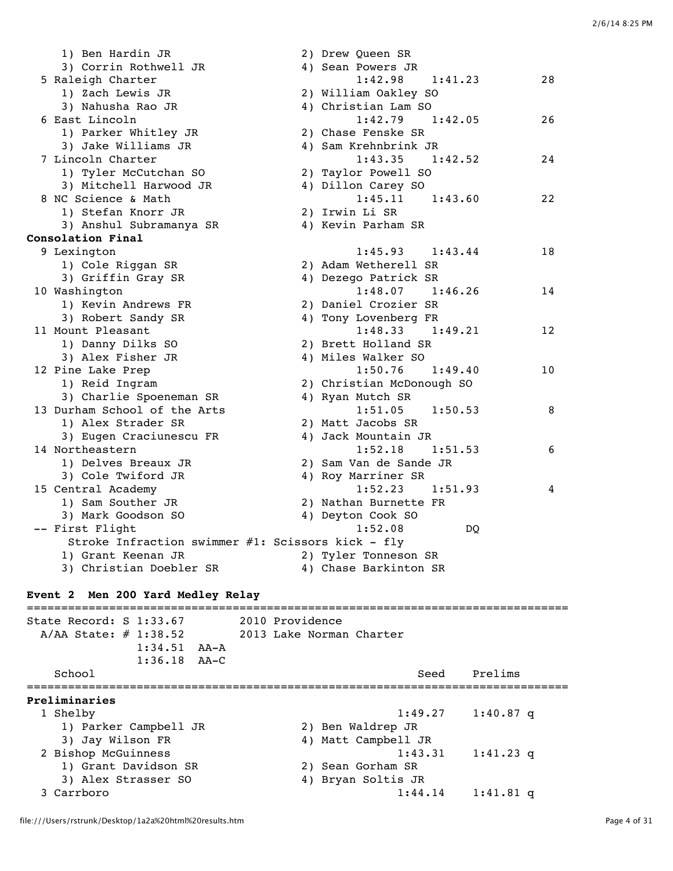| 1) Ben Hardin JR                                  | 2) Drew Queen SR          |    |
|---------------------------------------------------|---------------------------|----|
| 3) Corrin Rothwell JR                             | 4) Sean Powers JR         |    |
| 5 Raleigh Charter                                 | 1:42.98<br>1:41.23        | 28 |
| 1) Zach Lewis JR                                  | 2) William Oakley SO      |    |
| 3) Nahusha Rao JR                                 | 4) Christian Lam SO       |    |
| 6 East Lincoln                                    | $1:42.79$ $1:42.05$       | 26 |
| 1) Parker Whitley JR                              | 2) Chase Fenske SR        |    |
| 3) Jake Williams JR                               | 4) Sam Krehnbrink JR      |    |
| 7 Lincoln Charter                                 | 1:43.35<br>1:42.52        | 24 |
| 1) Tyler McCutchan SO                             | 2) Taylor Powell SO       |    |
| 3) Mitchell Harwood JR                            | 4) Dillon Carey SO        |    |
| 8 NC Science & Math                               | $1:45.11$ $1:43.60$       | 22 |
| 1) Stefan Knorr JR                                | 2) Irwin Li SR            |    |
| 3) Anshul Subramanya SR                           | 4) Kevin Parham SR        |    |
| Consolation Final                                 |                           |    |
| 9 Lexington                                       | $1:45.93$ $1:43.44$       | 18 |
| 1) Cole Riggan SR                                 | 2) Adam Wetherell SR      |    |
| 3) Griffin Gray SR                                | 4) Dezego Patrick SR      |    |
| 10 Washington                                     | $1:48.07$ $1:46.26$       | 14 |
| 1) Kevin Andrews FR                               | 2) Daniel Crozier SR      |    |
| 3) Robert Sandy SR                                | 4) Tony Lovenberg FR      |    |
| 11 Mount Pleasant                                 | $1:48.33$ $1:49.21$       | 12 |
| 1) Danny Dilks SO                                 | 2) Brett Holland SR       |    |
| 3) Alex Fisher JR                                 | 4) Miles Walker SO        |    |
| 12 Pine Lake Prep                                 | 1:50.76<br>1:49.40        | 10 |
| 1) Reid Ingram                                    | 2) Christian McDonough SO |    |
| 3) Charlie Spoeneman SR                           | 4) Ryan Mutch SR          |    |
| 13 Durham School of the Arts                      | $1:51.05$ $1:50.53$       | 8  |
| 1) Alex Strader SR                                | 2) Matt Jacobs SR         |    |
| 3) Eugen Craciunescu FR                           | 4) Jack Mountain JR       |    |
| 14 Northeastern                                   | 1:52.18<br>1:51.53        | 6  |
| 1) Delves Breaux JR                               | 2) Sam Van de Sande JR    |    |
| 3) Cole Twiford JR                                | 4) Roy Marriner SR        |    |
| 15 Central Academy                                | $1:52.23$ $1:51.93$       | 4  |
| 1) Sam Souther JR                                 | 2) Nathan Burnette FR     |    |
| 3) Mark Goodson SO                                | 4) Deyton Cook SO         |    |
| -- First Flight                                   | 1:52.08<br>DO.            |    |
| Stroke Infraction swimmer #1: Scissors kick - fly |                           |    |
| 1) Grant Keenan JR                                | 2) Tyler Tonneson SR      |    |
| 3) Christian Doebler SR                           | 4) Chase Barkinton SR     |    |
|                                                   |                           |    |

## **Event 2 Men 200 Yard Medley Relay**

=============================================================================== State Record: S 1:33.67 2010 Providence A/AA State: # 1:38.52 2013 Lake Norman Charter 1:34.51 AA-A 1:36.18 AA-C School Seed Prelims =============================================================================== **Preliminaries** 1 Shelby 1:49.27 1:40.87 q 1) Parker Campbell JR 2) Ben Waldrep JR 3) Jay Wilson FR 4) Matt Campbell JR 3) Jay Wilson FR<br>
2 Bishop McGuinness<br>
1:43.31 1:41.23 q<br>
1:43.31 1:41.23 q<br>
2) Sean Gorham SR 1) Grant Davidson SR 3) Alex Strasser SO 4) Bryan Soltis JR 3 Carrboro 1:44.14 1:41.81 q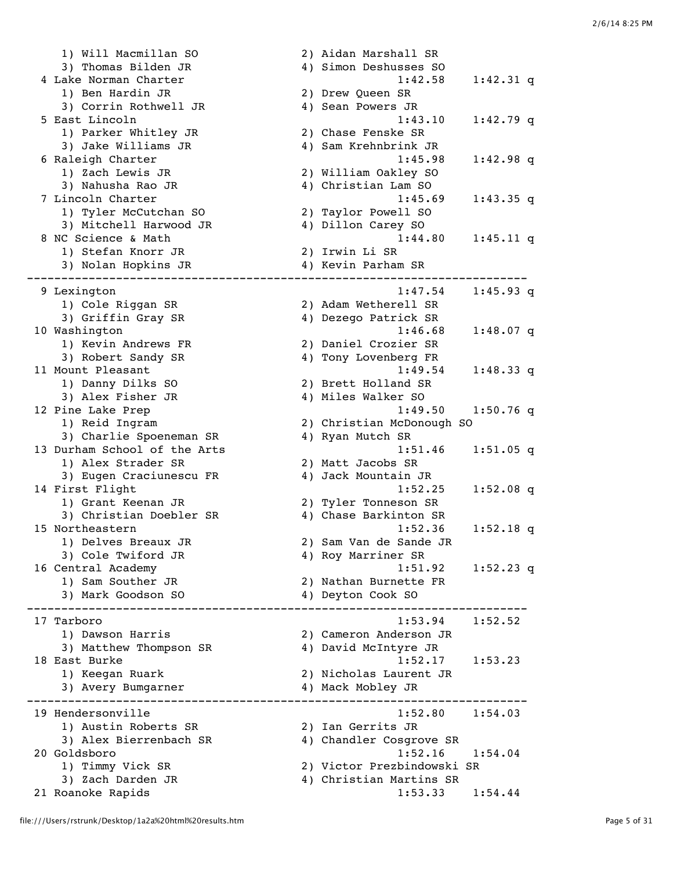1) Will Macmillan SO 2) Aidan Marshall SR 3) Thomas Bilden JR 4) Simon Deshusses SO 4 Lake Norman Charter 1:42.58 1:42.31 q ake Roman Sharocz<br>1) Ben Hardin JR 2) Drew Queen SR 3) Corrin Rothwell JR 4) Sean Powers JR 5 East Lincoln 1:43.10 1:42.79 q 1) Parker Whitley JR 2) Chase Fenske SR 3) Jake Williams JR 4) Sam Krehnbrink JR 6 Raleigh Charter 1:45.98 1:42.98 q 1) Zach Lewis JR 2) William Oakley SO 3) Nahusha Rao JR 4) Christian Lam SO 7 Lincoln Charter 1:45.69 1:43.35 q 1) Tyler McCutchan SO 2) Taylor Powell SO 3) Mitchell Harwood JR 4) Dillon Carey SO 8 NC Science & Math 1:44.80 1:45.11 q 1) Stefan Knorr JR 2) Irwin Li SR 3) Nolan Hopkins JR ------------------------------------------------------------------------- 9 Lexington 1:47.54 1:45.93 q 1) Cole Riggan SR 2) Adam Wetherell SR 3) Griffin Gray SR 4) Dezego Patrick SR 10 Washington 1:46.68 1:48.07 q 1) Kevin Andrews FR 2) Daniel Crozier SR 3) Robert Sandy SR 4) Tony Lovenberg FR 11 Mount Pleasant 1:49.54 1:48.33 q 1) Danny Dilks SO 2) Brett Holland SR 3) Alex Fisher JR 4) Miles Walker SO 12 Pine Lake Prep 1:49.50 1:50.76 q<br>1) Reid Ingram 2) Christian McDonough SO 2) Christian McDonough SO<br>4) Ryan Mutch SR 3) Charlie Spoeneman SR 13 Durham School of the Arts 1:51.46 1:51.05 q 1) Alex Strader SR 2) Matt Jacobs SR 3) Eugen Craciunescu FR 4) Jack Mountain JR 14 First Flight 1:52.25 1:52.08 q 1) Grant Keenan JR 2) Tyler Tonneson SR<br>3) Christian Doebler SR 3) Chase Barkinton SR 3) Christian Doebler SR 15 Northeastern 1:52.36 1:52.18 q 1) Delves Breaux JR 2) Sam Van de Sande JR 3) Cole Twiford JR 4) Roy Marriner SR 16 Central Academy 1:51.92 1:52.23 q 1) Sam Souther JR 2) Nathan Burnette FR 3) Mark Goodson SO 4) Deyton Cook SO ------------------------------------------------------------------------- 17 Tarboro 1:53.94 1:52.52 1) Dawson Harris 2) Cameron Anderson JR 3) Matthew Thompson SR 18 East Burke 1:52.17 1:53.23 1) Keegan Ruark 2) Nicholas Laurent JR 3) Avery Bumgarner 4) Mack Mobley JR ------------------------------------------------------------------------- 19 Hendersonville 1:52.80 1:54.03 1) Austin Roberts SR 2) Ian Gerrits JR 3) Alex Bierrenbach SR 4) Chandler Cosgrove SR 20 Goldsboro 1:52.16 1:54.04 1) Timmy Vick SR 2) Victor Prezbindowski SR 3) Zach Darden JR 4) Christian Martins SR 21 Roanoke Rapids 1:53.33 1:54.44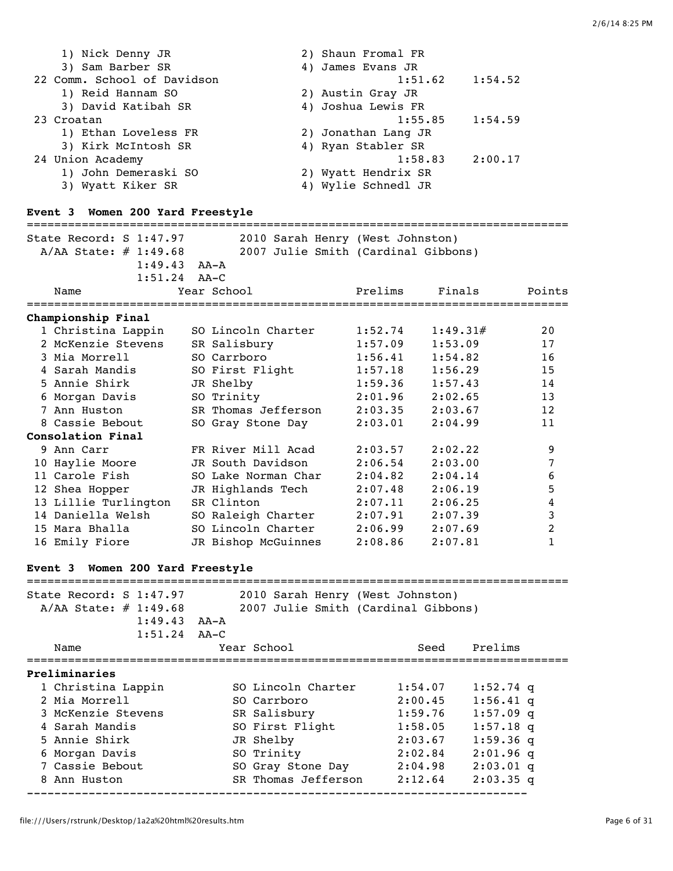| 1) Nick Denny JR            | 2) Shaun Fromal FR  |         |
|-----------------------------|---------------------|---------|
| 3) Sam Barber SR            | 4) James Evans JR   |         |
| 22 Comm. School of Davidson | 1:51.62             | 1:54.52 |
| 1) Reid Hannam SO           | 2) Austin Gray JR   |         |
| 3) David Katibah SR         | 4) Joshua Lewis FR  |         |
| 23 Croatan                  | 1:55.85             | 1:54.59 |
| 1) Ethan Loveless FR        | 2) Jonathan Lang JR |         |
| 3) Kirk McIntosh SR         | 4) Ryan Stabler SR  |         |
| 24 Union Academy            | 1:58.83             | 2:00.17 |
| 1) John Demeraski SO        | 2) Wyatt Hendrix SR |         |
| 3) Wyatt Kiker SR           | 4) Wylie Schnedl JR |         |

## **Event 3 Women 200 Yard Freestyle**

| State Record: $S$ 1:47.97           | 2010 Sarah Henry (West Johnston)    |         |          |                |
|-------------------------------------|-------------------------------------|---------|----------|----------------|
| A/AA State: # 1:49.68               | 2007 Julie Smith (Cardinal Gibbons) |         |          |                |
| $1:49.43$ $AA-A$                    |                                     |         |          |                |
| 1:51.24                             | $AA-C$                              |         |          |                |
| Name                                | Year School                         | Prelims | Finals   | Points         |
| Championship Final                  |                                     |         |          |                |
| 1 Christina Lappin                  | SO Lincoln Charter                  | 1:52.74 | 1:49.31# | 20             |
| 2 McKenzie Stevens                  | SR Salisbury                        | 1:57.09 | 1:53.09  | 17             |
| 3 Mia Morrell                       | SO Carrboro                         | 1:56.41 | 1:54.82  | 16             |
| 4 Sarah Mandis                      | SO First Flight                     | 1:57.18 | 1:56.29  | 15             |
| 5 Annie Shirk                       | JR Shelby                           | 1:59.36 | 1:57.43  | 14             |
| 6 Morgan Davis                      | SO Trinity                          | 2:01.96 | 2:02.65  | 13             |
| 7 Ann Huston                        | SR Thomas Jefferson                 | 2:03.35 | 2:03.67  | 12             |
| 8 Cassie Bebout                     | SO Gray Stone Day                   | 2:03.01 | 2:04.99  | 11             |
| Consolation Final                   |                                     |         |          |                |
| 9 Ann Carr                          | FR River Mill Acad                  | 2:03.57 | 2:02.22  | 9              |
| 10 Haylie Moore                     | JR South Davidson                   | 2:06.54 | 2:03.00  | 7              |
| 11 Carole Fish                      | SO Lake Norman Char                 | 2:04.82 | 2:04.14  | 6              |
| 12 Shea Hopper                      | JR Highlands Tech                   | 2:07.48 | 2:06.19  | 5              |
| 13 Lillie Turlington                | SR Clinton                          | 2:07.11 | 2:06.25  | 4              |
| 14 Daniella Welsh                   | SO Raleigh Charter                  | 2:07.91 | 2:07.39  | 3              |
| 15 Mara Bhalla                      | SO Lincoln Charter                  | 2:06.99 | 2:07.69  | $\overline{c}$ |
| 16 Emily Fiore                      | JR Bishop McGuinnes                 | 2:08.86 | 2:07.81  | 1              |
| Women 200 Yard Freestyle<br>Event 3 |                                     |         |          |                |
|                                     |                                     |         |          |                |
| State Record: S 1:47.97             | 2010 Sarah Henry (West Johnston)    |         |          |                |
| A/AA State: $\#$ 1:49.68            | 2007 Julie Smith (Cardinal Gibbons) |         |          |                |
| $1:49.43$ $AA-A$                    |                                     |         |          |                |
| 1:51.24                             | $AA-C$                              |         |          |                |

| Name               | Year School         | Seed    | Prelims     |
|--------------------|---------------------|---------|-------------|
| Preliminaries      |                     |         |             |
| 1 Christina Lappin | SO Lincoln Charter  | 1:54.07 | $1:52.74$ q |
| 2 Mia Morrell      | SO Carrboro         | 2:00.45 | $1:56.41$ q |
| 3 McKenzie Stevens | SR Salisbury        | 1:59.76 | $1:57.09$ q |
| 4 Sarah Mandis     | SO First Flight     | 1:58.05 | $1:57.18$ q |
| 5 Annie Shirk      | JR Shelby           | 2:03.67 | $1:59.36$ q |
| 6 Morgan Davis     | SO Trinity          | 2:02.84 | $2:01.96$ q |
| 7 Cassie Bebout    | SO Gray Stone Day   | 2:04.98 | $2:03.01$ q |
| 8 Ann Huston       | SR Thomas Jefferson | 2:12.64 | $2:03.35$ q |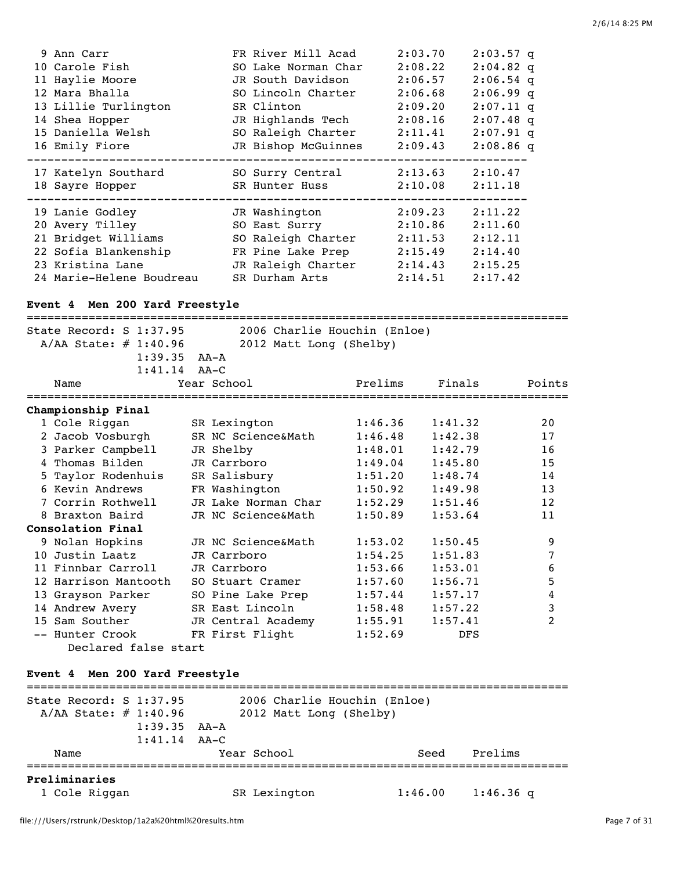| 9 Ann Carr           | FR River Mill Acad  | 2:03.70 | $2:03.57$ q |
|----------------------|---------------------|---------|-------------|
| 10 Carole Fish       | SO Lake Norman Char | 2:08.22 | $2:04.82$ q |
| 11 Haylie Moore      | JR South Davidson   | 2:06.57 | $2:06.54$ q |
| 12 Mara Bhalla       | SO Lincoln Charter  | 2:06.68 | $2:06.99$ q |
| 13 Lillie Turlington | SR Clinton          | 2:09.20 | $2:07.11$ q |
| 14 Shea Hopper       | JR Highlands Tech   | 2:08.16 | $2:07.48$ q |
| 15 Daniella Welsh    | SO Raleigh Charter  | 2:11.41 | $2:07.91$ q |
| 16 Emily Fiore       | JR Bishop McGuinnes | 2:09.43 | $2:08.86$ q |
|                      |                     |         |             |
| 17 Katelyn Southard  | SO Surry Central    | 2:13.63 | 2:10.47     |
| 18 Sayre Hopper      | SR Hunter Huss      | 2:10.08 | 2:11.18     |
|                      |                     |         |             |
| 19 Lanie Godley      | JR Washington       | 2:09.23 | 2:11.22     |
|                      |                     |         |             |
| 20 Avery Tilley      | SO East Surry       | 2:10.86 | 2:11.60     |
| 21 Bridget Williams  | SO Raleigh Charter  | 2:11.53 | 2:12.11     |
| 22 Sofia Blankenship | FR Pine Lake Prep   | 2:15.49 | 2:14.40     |
| 23 Kristina Lane     | JR Raleigh Charter  | 2:14.43 | 2:15.25     |

## **Event 4 Men 200 Yard Freestyle**

| State Record: S 1:37.95        | 2006 Charlie Houchin (Enloe) |         |            |                |  |  |
|--------------------------------|------------------------------|---------|------------|----------------|--|--|
| $A/AA$ State: $\#$ 1:40.96     | 2012 Matt Long (Shelby)      |         |            |                |  |  |
| $1:39.35$ $AA-A$               |                              |         |            |                |  |  |
| $1:41.14$ $AA-C$               |                              |         |            |                |  |  |
| Name                           | Year School                  | Prelims | Finals     | Points         |  |  |
| Championship Final             |                              |         |            |                |  |  |
| 1 Cole Riggan                  | SR Lexington                 | 1:46.36 | 1:41.32    | 20             |  |  |
| 2 Jacob Vosburgh               | SR NC Science&Math           | 1:46.48 | 1:42.38    | 17             |  |  |
| 3 Parker Campbell              | JR Shelby                    | 1:48.01 | 1:42.79    | 16             |  |  |
| 4 Thomas Bilden                | JR Carrboro                  | 1:49.04 | 1:45.80    | 15             |  |  |
| 5 Taylor Rodenhuis             | SR Salisbury                 | 1:51.20 | 1:48.74    | 14             |  |  |
| 6 Kevin Andrews                | FR Washington                | 1:50.92 | 1:49.98    | 13             |  |  |
| 7 Corrin Rothwell              | JR Lake Norman Char          | 1:52.29 | 1:51.46    | 12             |  |  |
| 8 Braxton Baird                | JR NC Science&Math           | 1:50.89 | 1:53.64    | 11             |  |  |
| Consolation Final              |                              |         |            |                |  |  |
| 9 Nolan Hopkins                | JR NC Science&Math           | 1:53.02 | 1:50.45    | 9              |  |  |
| 10 Justin Laatz                | JR Carrboro                  | 1:54.25 | 1:51.83    | 7              |  |  |
| 11 Finnbar Carroll             | JR Carrboro                  | 1:53.66 | 1:53.01    | 6              |  |  |
| 12 Harrison Mantooth           | SO Stuart Cramer             | 1:57.60 | 1:56.71    | 5              |  |  |
| 13 Grayson Parker              | SO Pine Lake Prep            | 1:57.44 | 1:57.17    | 4              |  |  |
| 14 Andrew Avery                | SR East Lincoln              | 1:58.48 | 1:57.22    | 3              |  |  |
| 15 Sam Souther                 | JR Central Academy           | 1:55.91 | 1:57.41    | $\overline{2}$ |  |  |
| -- Hunter Crook                | FR First Flight              | 1:52.69 | <b>DFS</b> |                |  |  |
| Declared false start           |                              |         |            |                |  |  |
|                                |                              |         |            |                |  |  |
| Event 4 Men 200 Yard Freestyle |                              |         |            |                |  |  |
| State Record: S 1:37.95        | 2006 Charlie Houchin (Enloe) |         |            |                |  |  |
| A/AA State: # 1:40.96          | 2012 Matt Long (Shelby)      |         |            |                |  |  |
| 1:39.35                        | AA-A                         |         |            |                |  |  |

|               | -------<br>$1:41.14$ $AA-C$ | .            |         |             |  |
|---------------|-----------------------------|--------------|---------|-------------|--|
| Name          |                             | Year School  | Seed    | Prelims     |  |
| Preliminaries |                             |              |         |             |  |
| 1 Cole Riggan |                             | SR Lexington | 1:46.00 | $1:46.36$ q |  |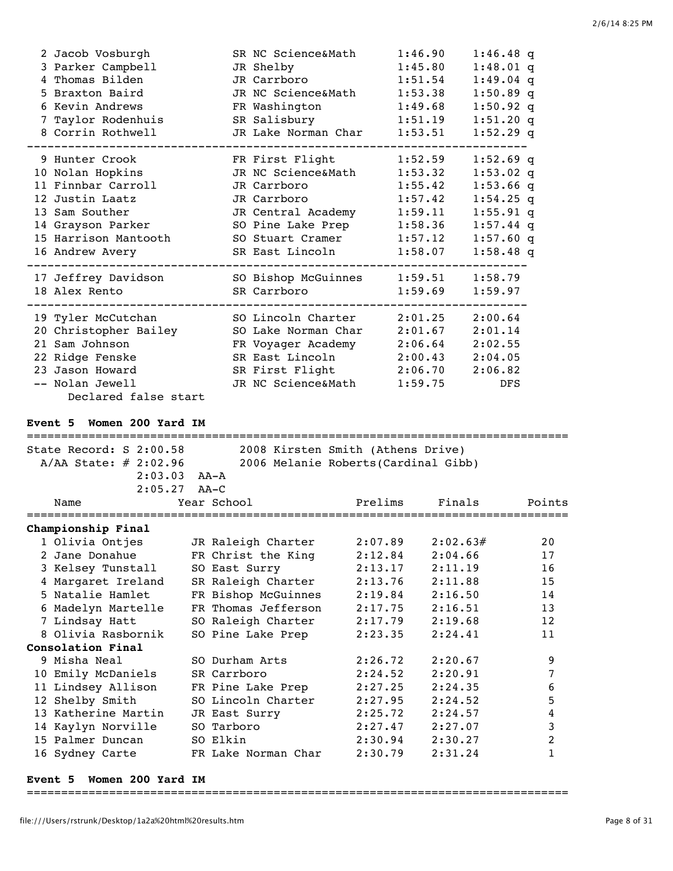| 2 Jacob Vosburgh<br>3 Parker Campbell<br>4 Thomas Bilden<br>5 Braxton Baird<br>6 Kevin Andrews<br>7 Taylor Rodenhuis<br>8 Corrin Rothwell      | SR NC Science&Math<br>JR Shelby<br>JR Carrboro<br>JR NC Science&Math<br>FR Washington<br>SR Salisbury<br>JR Lake Norman Char | 1:46.90<br>1:45.80<br>1:51.54<br>1:53.38<br>1:49.68<br>1:51.19<br>1:53.51 | $1:46.48$ q<br>$1:48.01$ q<br>$1:49.04$ q<br>$1:50.89$ q<br>$1:50.92$ q<br>$1:51.20$ q<br>$1:52.29$ q |
|------------------------------------------------------------------------------------------------------------------------------------------------|------------------------------------------------------------------------------------------------------------------------------|---------------------------------------------------------------------------|-------------------------------------------------------------------------------------------------------|
| 9 Hunter Crook                                                                                                                                 | FR First Flight                                                                                                              | 1:52.59                                                                   | $1:52.69$ q                                                                                           |
| 10 Nolan Hopkins                                                                                                                               | JR NC Science&Math                                                                                                           | 1:53.32                                                                   | $1:53.02$ q                                                                                           |
| 11 Finnbar Carroll                                                                                                                             | JR Carrboro                                                                                                                  | 1:55.42                                                                   | $1:53.66$ q                                                                                           |
| 12 Justin Laatz                                                                                                                                | JR Carrboro                                                                                                                  | 1:57.42                                                                   | $1:54.25$ q                                                                                           |
| 13 Sam Souther                                                                                                                                 | JR Central Academy                                                                                                           | 1:59.11                                                                   | $1:55.91$ q                                                                                           |
| 14 Grayson Parker                                                                                                                              | SO Pine Lake Prep                                                                                                            | 1:58.36                                                                   | $1:57.44$ q                                                                                           |
| 15 Harrison Mantooth                                                                                                                           | SO Stuart Cramer                                                                                                             | 1:57.12                                                                   | $1:57.60$ q                                                                                           |
| 16 Andrew Avery                                                                                                                                | SR East Lincoln                                                                                                              | 1:58.07                                                                   | $1:58.48$ q                                                                                           |
| 17 Jeffrey Davidson                                                                                                                            | SO Bishop McGuinnes                                                                                                          | 1:59.51                                                                   | 1:58.79                                                                                               |
| 18 Alex Rento                                                                                                                                  | SR Carrboro                                                                                                                  | 1:59.69                                                                   | 1:59.97                                                                                               |
| 19 Tyler McCutchan<br>20 Christopher Bailey<br>21 Sam Johnson<br>22 Ridge Fenske<br>23 Jason Howard<br>-- Nolan Jewell<br>Declared false start | SO Lincoln Charter<br>SO Lake Norman Char<br>FR Voyager Academy<br>SR East Lincoln<br>SR First Flight<br>JR NC Science&Math  | 2:01.25<br>2:01.67<br>2:06.64<br>2:00.43<br>2:06.70<br>1:59.75            | 2:00.64<br>2:01.14<br>2:02.55<br>2:04.05<br>2:06.82<br>DFS                                            |

## **Event 5 Women 200 Yard IM**

| State Record: $S$ 2:00.58  |                     | 2008 Kirsten Smith (Athens Drive)    |          |        |
|----------------------------|---------------------|--------------------------------------|----------|--------|
| $A/AA$ State: $\#$ 2:02.96 |                     | 2006 Melanie Roberts (Cardinal Gibb) |          |        |
| $2:03.03$ $AA-A$           |                     |                                      |          |        |
| $2:05.27$ AA-C             |                     |                                      |          |        |
| Name                       | Year School         | Prelims                              | Finals   | Points |
|                            |                     |                                      |          |        |
| Championship Final         |                     |                                      |          |        |
| 1 Olivia Ontjes            | JR Raleigh Charter  | 2:07.89                              | 2:02.63# | 20     |
| 2 Jane Donahue             | FR Christ the King  | 2:12.84                              | 2:04.66  | 17     |
| 3 Kelsey Tunstall          | SO East Surry       | 2:13.17                              | 2:11.19  | 16     |
| 4 Margaret Ireland         | SR Raleigh Charter  | 2:13.76                              | 2:11.88  | 15     |
| 5 Natalie Hamlet           | FR Bishop McGuinnes | 2:19.84                              | 2:16.50  | 14     |
| 6 Madelyn Martelle         | FR Thomas Jefferson | 2:17.75                              | 2:16.51  | 13     |
| 7 Lindsay Hatt             | SO Raleigh Charter  | 2:17.79                              | 2:19.68  | 12     |
| 8 Olivia Rasbornik         | SO Pine Lake Prep   | 2:23.35                              | 2:24.41  | 11     |
| Consolation Final          |                     |                                      |          |        |
| 9 Misha Neal               | SO Durham Arts      | 2:26.72                              | 2:20.67  | 9      |
| 10 Emily McDaniels         | SR Carrboro         | 2:24.52                              | 2:20.91  | 7      |
| 11 Lindsey Allison         | FR Pine Lake Prep   | 2:27.25                              | 2:24.35  | 6      |
| 12 Shelby Smith            | SO Lincoln Charter  | 2:27.95                              | 2:24.52  | 5      |
| 13 Katherine Martin        | JR East Surry       | 2:25.72                              | 2:24.57  | 4      |
| 14 Kaylyn Norville         | SO Tarboro          | 2:27.47                              | 2:27.07  | 3      |
| 15 Palmer Duncan           | SO Elkin            | 2:30.94                              | 2:30.27  | 2      |
| 16 Sydney Carte            | FR Lake Norman Char | 2:30.79                              | 2:31.24  | 1      |
|                            |                     |                                      |          |        |

## **Event 5 Women 200 Yard IM**

===============================================================================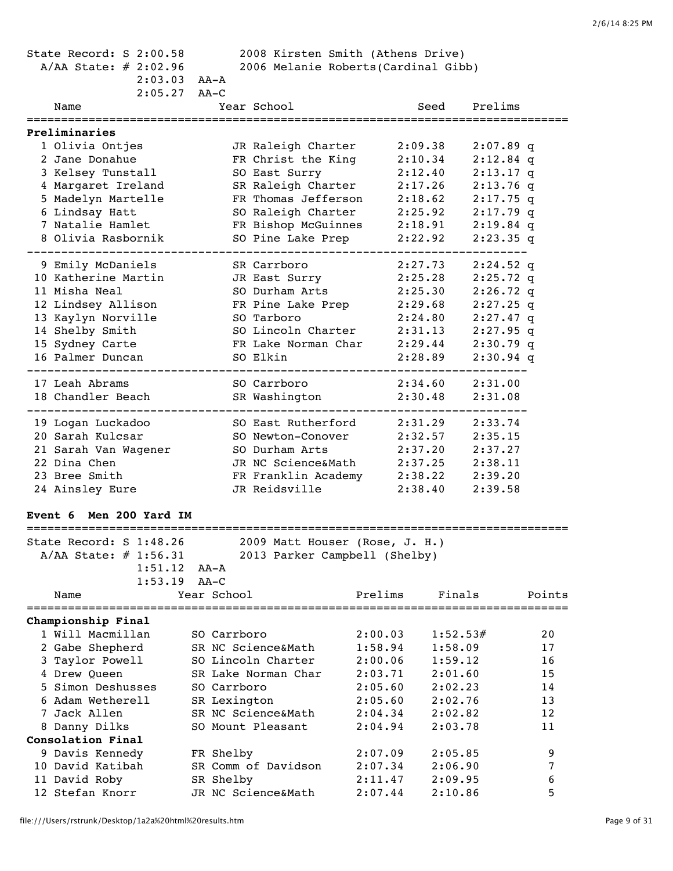| State Record: S 2:00.58<br>A/AA State: $\#$ 2:02.96 | $2:03.03$ AA-A                      | 2008 Kirsten Smith (Athens Drive)<br>2006 Melanie Roberts (Cardinal Gibb) |                    |                  |
|-----------------------------------------------------|-------------------------------------|---------------------------------------------------------------------------|--------------------|------------------|
| Name                                                | $2:05.27$ AA-C<br>Year School       | Seed                                                                      | Prelims            |                  |
|                                                     |                                     |                                                                           |                    |                  |
| Preliminaries                                       |                                     |                                                                           |                    |                  |
| 1 Olivia Ontjes                                     | JR Raleigh Charter                  | 2:09.38                                                                   | $2:07.89$ q        |                  |
| 2 Jane Donahue                                      | FR Christ the King                  | 2:10.34                                                                   | $2:12.84$ q        |                  |
| 3 Kelsey Tunstall                                   | SO East Surry                       | 2:12.40                                                                   | $2:13.17$ q        |                  |
| 4 Margaret Ireland                                  | SR Raleigh Charter                  | 2:17.26                                                                   | $2:13.76$ q        |                  |
| 5 Madelyn Martelle                                  | FR Thomas Jefferson                 | 2:18.62                                                                   | $2:17.75$ q        |                  |
| 6 Lindsay Hatt                                      | SO Raleigh Charter                  | 2:25.92                                                                   | $2:17.79$ q        |                  |
| 7 Natalie Hamlet                                    | FR Bishop McGuinnes                 | 2:18.91                                                                   | $2:19.84$ q        |                  |
| 8 Olivia Rasbornik                                  | SO Pine Lake Prep                   | 2:22.92                                                                   | $2:23.35$ q        |                  |
| 9 Emily McDaniels                                   | SR Carrboro                         | 2:27.73                                                                   | $2:24.52$ q        |                  |
| 10 Katherine Martin                                 | JR East Surry                       | 2:25.28                                                                   | $2:25.72$ q        |                  |
| 11 Misha Neal                                       | SO Durham Arts                      | 2:25.30                                                                   | $2:26.72$ q        |                  |
| 12 Lindsey Allison                                  | FR Pine Lake Prep                   | 2:29.68                                                                   | $2:27.25$ q        |                  |
| 13 Kaylyn Norville                                  | SO Tarboro                          | 2:24.80                                                                   | $2:27.47$ q        |                  |
| 14 Shelby Smith                                     | SO Lincoln Charter                  | 2:31.13                                                                   | $2:27.95$ q        |                  |
| 15 Sydney Carte                                     | FR Lake Norman Char                 | 2:29.44                                                                   | $2:30.79$ q        |                  |
| 16 Palmer Duncan                                    | SO Elkin                            | 2:28.89                                                                   | $2:30.94$ q        |                  |
| 17 Leah Abrams                                      | SO Carrboro                         | 2:34.60                                                                   | 2:31.00            |                  |
| 18 Chandler Beach                                   | SR Washington                       | 2:30.48                                                                   | 2:31.08            |                  |
|                                                     |                                     |                                                                           |                    |                  |
| 19 Logan Luckadoo                                   | SO East Rutherford                  | 2:31.29                                                                   | 2:33.74            |                  |
| 20 Sarah Kulcsar                                    | SO Newton-Conover<br>SO Durham Arts | 2:32.57<br>2:37.20                                                        | 2:35.15            |                  |
| 21 Sarah Van Wagener<br>22 Dina Chen                | JR NC Science&Math                  |                                                                           | 2:37.27            |                  |
| 23 Bree Smith                                       |                                     | 2:37.25<br>FR Franklin Academy 2:38.22                                    | 2:38.11<br>2:39.20 |                  |
| 24 Ainsley Eure                                     | JR Reidsville                       | 2:38.40                                                                   | 2:39.58            |                  |
|                                                     |                                     |                                                                           |                    |                  |
| Event 6 Men 200 Yard IM                             |                                     |                                                                           |                    |                  |
| State Record: S 1:48.26                             |                                     | 2009 Matt Houser (Rose, J. H.)                                            |                    |                  |
| $A/AA$ State: # 1:56.31                             |                                     | 2013 Parker Campbell (Shelby)                                             |                    |                  |
| 1:51.12                                             | AA-A                                |                                                                           |                    |                  |
| 1:53.19                                             | $AA-C$                              |                                                                           |                    |                  |
| Name                                                | Year School                         | Prelims                                                                   | Finals             | Points           |
| Championship Final                                  |                                     |                                                                           |                    |                  |
| 1 Will Macmillan                                    | SO Carrboro                         | 2:00.03                                                                   | 1:52.53#           | 20               |
| 2 Gabe Shepherd                                     | SR NC Science&Math                  | 1:58.94                                                                   | 1:58.09            | 17               |
| 3 Taylor Powell                                     | SO Lincoln Charter                  | 2:00.06                                                                   | 1:59.12            | 16               |
| 4 Drew Queen                                        | SR Lake Norman Char                 | 2:03.71                                                                   | 2:01.60            | 15               |
| 5 Simon Deshusses                                   | SO Carrboro                         | 2:05.60                                                                   | 2:02.23            | 14               |
| 6 Adam Wetherell                                    | SR Lexington                        | 2:05.60                                                                   | 2:02.76            | 13               |
| 7 Jack Allen                                        | SR NC Science&Math                  | 2:04.34                                                                   | 2:02.82            | 12               |
| 8 Danny Dilks                                       | SO Mount Pleasant                   | 2:04.94                                                                   | 2:03.78            | 11               |
| Consolation Final                                   |                                     |                                                                           |                    |                  |
| 9 Davis Kennedy                                     | FR Shelby                           | 2:07.09                                                                   | 2:05.85            | 9                |
| 10 David Katibah                                    | SR Comm of Davidson                 | 2:07.34                                                                   | 2:06.90            | $\boldsymbol{7}$ |
| 11 David Roby                                       | SR Shelby                           | 2:11.47                                                                   | 2:09.95            | 6                |
| 12 Stefan Knorr                                     | JR NC Science&Math                  | 2:07.44                                                                   | 2:10.86            | 5                |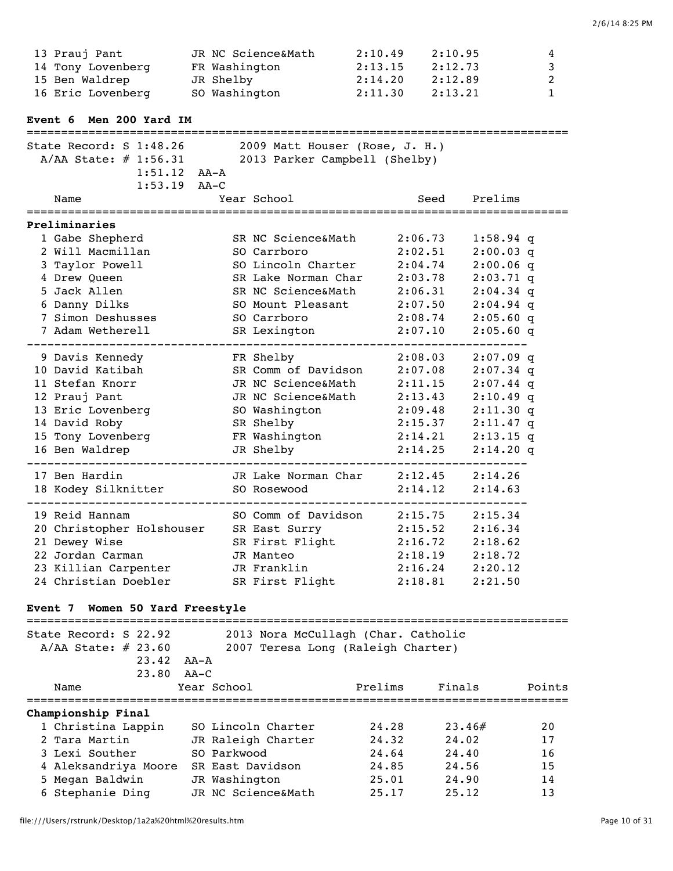| 13 Prauj Pant                                                | JR NC Science&Math               | 2:10.49 | 2:10.95                                      | 4            |
|--------------------------------------------------------------|----------------------------------|---------|----------------------------------------------|--------------|
| 14 Tony Lovenberg FR Washington                              |                                  | 2:13.15 | 2:12.73                                      | 3            |
| 15 Ben Waldrep                                               | JR Shelby                        | 2:14.20 | 2:12.89                                      | 2            |
| 16 Eric Lovenberg                                            | SO Washington                    | 2:11.30 | 2:13.21                                      | $\mathbf{1}$ |
| Event 6 Men 200 Yard IM<br>================================= |                                  |         |                                              |              |
| State Record: S 1:48.26                                      | 2009 Matt Houser (Rose, J. H.)   |         |                                              |              |
| A/AA State: # 1:56.31                                        | 2013 Parker Campbell (Shelby)    |         |                                              |              |
| $1:51.12$ $AA-A$                                             |                                  |         |                                              |              |
| 1:53.19 AA-C                                                 |                                  |         |                                              |              |
| Name                                                         | Year School                      |         | Prelims<br>Seed                              |              |
| Preliminaries                                                |                                  |         |                                              |              |
| 1 Gabe Shepherd                                              | SR NC Science&Math               |         | 2:06.73<br>$1:58.94$ q                       |              |
| 2 Will Macmillan                                             | SO Carrboro                      |         | 2:02.51<br>$2:00.03$ q                       |              |
| 3 Taylor Powell                                              | SO Lincoln Charter               |         | 2:04.74<br>$2:00.06$ q                       |              |
| 4 Drew Queen                                                 | SR Lake Norman Char              |         | $2:03.71$ q<br>2:03.78                       |              |
| 5 Jack Allen                                                 | SR NC Science&Math               |         | 2:06.31<br>$2:04.34$ q                       |              |
| 6 Danny Dilks                                                | SO Mount Pleasant 2:07.50        |         | $2:04.94$ q                                  |              |
| 7 Simon Deshusses                                            | SO Carrboro                      |         | $2:05.60$ q<br>2:08.74                       |              |
| 7 Adam Wetherell                                             | SR Lexington                     |         | $2:05.60$ q<br>2:07.10                       |              |
|                                                              |                                  |         | 2:08.03                                      |              |
| 9 Davis Kennedy<br>10 David Katibah                          | FR Shelby<br>SR Comm of Davidson |         | $2:07.09$ q<br>2:07.08<br>$2:07.34$ q        |              |
| 11 Stefan Knorr                                              | JR NC Science&Math               |         | 2:11.15<br>$2:07.44$ q                       |              |
| 12 Prauj Pant                                                | JR NC Science&Math               | 2:13.43 | $2:10.49$ q                                  |              |
| 13 Eric Lovenberg                                            | SO Washington                    |         | 2:09.48<br>$2:11.30$ q                       |              |
| 14 David Roby                                                | SR Shelby                        |         | 2:15.37<br>$2:11.47$ q                       |              |
| 15 Tony Lovenberg                                            | FR Washington                    |         | 2:14.21<br>$2:13.15$ q                       |              |
| 16 Ben Waldrep                                               | JR Shelby                        |         | $2:14.20$ q<br>2:14.25                       |              |
| 17 Ben Hardin                                                | JR Lake Norman Char              |         | ______________________<br>2:12.45<br>2:14.26 |              |
| 18 Kodey Silknitter                                          | SO Rosewood                      |         | 2:14.12<br>2:14.63                           |              |
| ------------                                                 |                                  |         |                                              |              |
| 19 Reid Hannam                                               | SO Comm of Davidson 2:15.75      |         | 2:15.34                                      |              |
| 20 Christopher Holshouser                                    | SR East Surry                    |         | 2:15.52<br>2:16.34                           |              |
| 21 Dewey Wise                                                | SR First Flight                  |         | 2:16.72<br>2:18.62                           |              |
| 22 Jordan Carman                                             | JR Manteo                        | 2:18.19 | 2:18.72                                      |              |
| 23 Killian Carpenter                                         | JR Franklin                      |         | 2:16.24<br>2:20.12                           |              |
| 24 Christian Doebler                                         | SR First Flight                  |         | 2:18.81<br>2:21.50                           |              |
|                                                              |                                  |         |                                              |              |

# **Event 7 Women 50 Yard Freestyle**

| State Record: S 22.92<br>$A/AA$ State: # 23.60 |                  | 2013 Nora McCullagh (Char. Catholic<br>2007 Teresa Long (Raleigh Charter) |         |        |        |  |  |  |
|------------------------------------------------|------------------|---------------------------------------------------------------------------|---------|--------|--------|--|--|--|
| 23.42                                          | AA-A             |                                                                           |         |        |        |  |  |  |
| $23.80$ $AA-C$                                 |                  |                                                                           |         |        |        |  |  |  |
| Name                                           | Year School      |                                                                           | Prelims | Finals | Points |  |  |  |
| Championship Final<br>1 Christina Lappin       |                  | SO Lincoln Charter                                                        | 24.28   | 23.46# | 20     |  |  |  |
| 2 Tara Martin                                  |                  | JR Raleigh Charter                                                        | 24.32   | 24.02  | 17     |  |  |  |
| 3 Lexi Souther                                 | SO Parkwood      |                                                                           | 24.64   | 24.40  | 16     |  |  |  |
| 4 Aleksandriya Moore                           | SR East Davidson |                                                                           | 24.85   | 24.56  | 15     |  |  |  |
| 5 Megan Baldwin                                | JR Washington    |                                                                           | 25.01   | 24.90  | 14     |  |  |  |
| 6 Stephanie Ding                               |                  | JR NC Science&Math                                                        | 25.17   | 25.12  | 13     |  |  |  |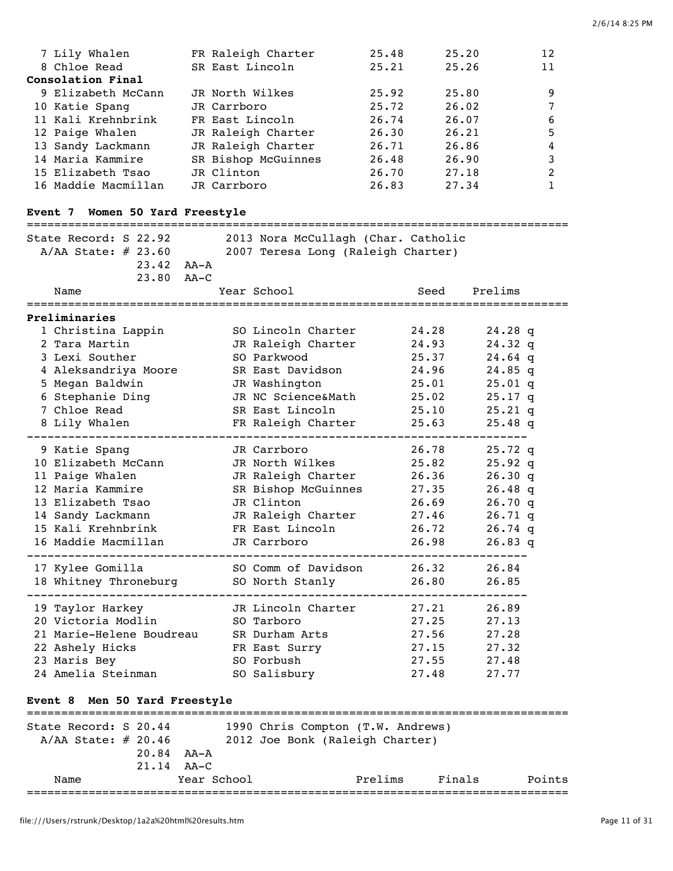| 7 Lily Whalen       | FR Raleigh Charter  | 25.48 | 25.20 | 12             |
|---------------------|---------------------|-------|-------|----------------|
| 8 Chloe Read        | SR East Lincoln     | 25.21 | 25.26 | 11             |
| Consolation Final   |                     |       |       |                |
| 9 Elizabeth McCann  | JR North Wilkes     | 25.92 | 25.80 | 9              |
| 10 Katie Spang      | JR Carrboro         | 25.72 | 26.02 |                |
| 11 Kali Krehnbrink  | FR East Lincoln     | 26.74 | 26.07 | 6              |
| 12 Paige Whalen     | JR Raleigh Charter  | 26.30 | 26.21 | 5              |
| 13 Sandy Lackmann   | JR Raleigh Charter  | 26.71 | 26.86 | 4              |
| 14 Maria Kammire    | SR Bishop McGuinnes | 26.48 | 26.90 | 3              |
| 15 Elizabeth Tsao   | JR Clinton          | 26.70 | 27.18 | $\mathfrak{D}$ |
| 16 Maddie Macmillan | JR Carrboro         | 26.83 | 27.34 |                |

# **Event 7 Women 50 Yard Freestyle**

| State Record: S 22.92<br>$A/AA$ State: $\#$ 23.60 | 2013 Nora McCullagh (Char. Catholic |       |           |  |
|---------------------------------------------------|-------------------------------------|-------|-----------|--|
|                                                   | 2007 Teresa Long (Raleigh Charter)  |       |           |  |
| $23.42$ $AA-A$<br>23.80 AA-C                      |                                     |       |           |  |
| Name                                              | Year School                         | Seed  | Prelims   |  |
| Preliminaries                                     |                                     |       |           |  |
| 1 Christina Lappin                                | SO Lincoln Charter                  | 24.28 | $24.28$ q |  |
| 2 Tara Martin                                     | JR Raleigh Charter                  | 24.93 | $24.32$ q |  |
| 3 Lexi Souther                                    | SO Parkwood                         | 25.37 | $24.64$ q |  |
| 4 Aleksandriya Moore                              | SR East Davidson                    | 24.96 | $24.85$ q |  |
| 5 Megan Baldwin                                   | JR Washington                       | 25.01 | $25.01$ q |  |
| 6 Stephanie Ding                                  | JR NC Science&Math                  | 25.02 | $25.17$ q |  |
| 7 Chloe Read                                      | SR East Lincoln                     | 25.10 | $25.21$ q |  |
| 8 Lily Whalen                                     | FR Raleigh Charter                  | 25.63 | $25.48$ q |  |
| 9 Katie Spang                                     | JR Carrboro                         | 26.78 | $25.72$ q |  |
| 10 Elizabeth McCann                               | JR North Wilkes                     | 25.82 | $25.92$ q |  |
| 11 Paige Whalen                                   | JR Raleigh Charter                  | 26.36 | $26.30$ q |  |
| 12 Maria Kammire                                  | SR Bishop McGuinnes                 | 27.35 | $26.48$ q |  |
| 13 Elizabeth Tsao                                 | JR Clinton                          | 26.69 | 26.70q    |  |
| 14 Sandy Lackmann                                 | JR Raleigh Charter                  | 27.46 | $26.71$ q |  |
| 15 Kali Krehnbrink                                | FR East Lincoln                     | 26.72 | $26.74$ q |  |
| 16 Maddie Macmillan                               | JR Carrboro                         | 26.98 | 26.83q    |  |
| 17 Kylee Gomilla                                  | SO Comm of Davidson                 | 26.32 | 26.84     |  |
| 18 Whitney Throneburg                             | SO North Stanly                     | 26.80 | 26.85     |  |
| 19 Taylor Harkey                                  | JR Lincoln Charter                  | 27.21 | 26.89     |  |
| 20 Victoria Modlin                                | SO Tarboro                          | 27.25 | 27.13     |  |
| 21 Marie-Helene Boudreau                          | SR Durham Arts                      | 27.56 | 27.28     |  |
| 22 Ashely Hicks                                   | FR East Surry                       | 27.15 | 27.32     |  |
| 23 Maris Bey                                      | SO Forbush                          | 27.55 | 27.48     |  |
| 24 Amelia Steinman                                | SO Salisbury                        | 27.48 | 27.77     |  |
| Men 50 Yard Freestyle<br><b>Event 8</b>           |                                     |       |           |  |

| State Record: S 20.44 |                  |             | 1990 Chris Compton (T.W. Andrews) |         |        |        |
|-----------------------|------------------|-------------|-----------------------------------|---------|--------|--------|
| $A/AA$ State: # 20.46 |                  |             | 2012 Joe Bonk (Raleigh Charter)   |         |        |        |
|                       | $20.84$ $AA - A$ |             |                                   |         |        |        |
|                       | $21.14$ $AA-C$   |             |                                   |         |        |        |
| Name                  |                  | Year School |                                   | Prelims | Finals | Points |
|                       |                  |             |                                   |         |        |        |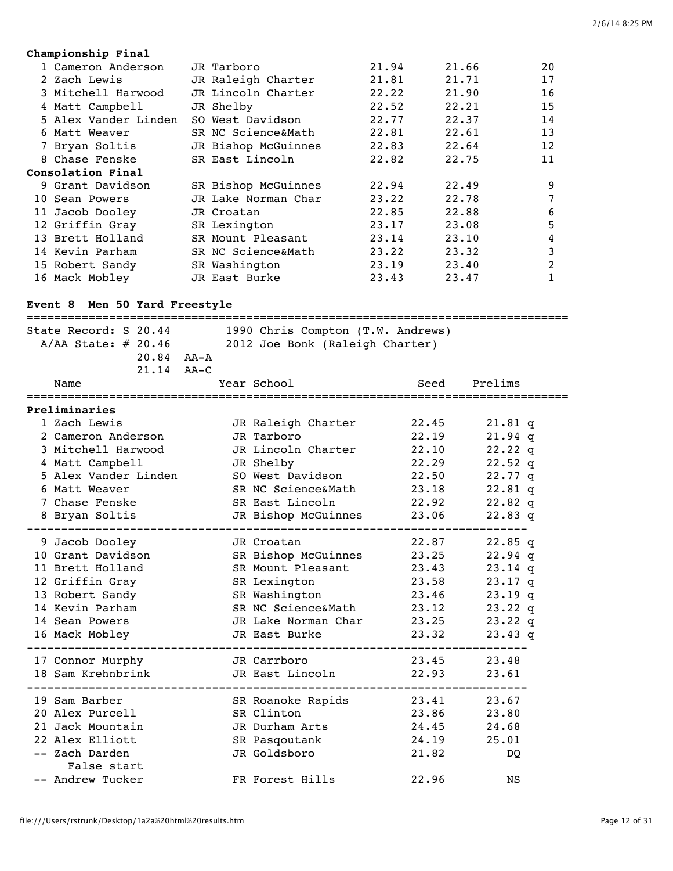# **Championship Final**

| 1 Cameron Anderson   | JR Tarboro          | 21.94 | 21.66 | 20 |
|----------------------|---------------------|-------|-------|----|
| 2 Zach Lewis         | JR Raleigh Charter  | 21.81 | 21.71 | 17 |
| 3 Mitchell Harwood   | JR Lincoln Charter  | 22.22 | 21.90 | 16 |
| 4 Matt Campbell      | JR Shelby           | 22.52 | 22.21 | 15 |
| 5 Alex Vander Linden | SO West Davidson    | 22.77 | 22.37 | 14 |
| 6 Matt Weaver        | SR NC Science&Math  | 22.81 | 22.61 | 13 |
| 7 Bryan Soltis       | JR Bishop McGuinnes | 22.83 | 22.64 | 12 |
| 8 Chase Fenske       | SR East Lincoln     | 22.82 | 22.75 | 11 |
| Consolation Final    |                     |       |       |    |
| 9 Grant Davidson     | SR Bishop McGuinnes | 22.94 | 22.49 | 9  |
| 10 Sean Powers       | JR Lake Norman Char | 23.22 | 22.78 | 7  |
| 11 Jacob Dooley      | JR Croatan          | 22.85 | 22.88 | 6  |
| 12 Griffin Gray      | SR Lexington        | 23.17 | 23.08 | 5  |
| 13 Brett Holland     | SR Mount Pleasant   | 23.14 | 23.10 | 4  |
| 14 Kevin Parham      | SR NC Science&Math  | 23.22 | 23.32 | 3  |
| 15 Robert Sandy      | SR Washington       | 23.19 | 23.40 | 2  |
| 16 Mack Mobley       | JR East Burke       | 23.43 | 23.47 | 1  |

# **Event 8 Men 50 Yard Freestyle**

| State Record: S 20.44<br>$A/AA$ State: $\#$ 20.46 |  | 1990 Chris Compton (T.W. Andrews)<br>2012 Joe Bonk (Raleigh Charter) |       |           |  |
|---------------------------------------------------|--|----------------------------------------------------------------------|-------|-----------|--|
| $20.84$ $AA-A$                                    |  |                                                                      |       |           |  |
| $21.14$ $AA-C$                                    |  |                                                                      |       |           |  |
| Name                                              |  | Year School                                                          | Seed  | Prelims   |  |
| Preliminaries                                     |  |                                                                      |       |           |  |
| 1 Zach Lewis                                      |  | JR Raleigh Charter                                                   | 22.45 | $21.81$ q |  |
| 2 Cameron Anderson                                |  | JR Tarboro                                                           | 22.19 | $21.94$ q |  |
| 3 Mitchell Harwood                                |  | JR Lincoln Charter                                                   | 22.10 | 22.22q    |  |
| 4 Matt Campbell                                   |  | JR Shelby                                                            | 22.29 | $22.52$ q |  |
| 5 Alex Vander Linden                              |  | SO West Davidson                                                     | 22.50 | $22.77$ q |  |
| 6 Matt Weaver                                     |  | SR NC Science&Math                                                   | 23.18 | $22.81$ q |  |
| 7 Chase Fenske                                    |  | SR East Lincoln                                                      | 22.92 | $22.82$ q |  |
| 8 Bryan Soltis                                    |  | JR Bishop McGuinnes<br>---------                                     | 23.06 | $22.83$ q |  |
| 9 Jacob Dooley                                    |  | JR Croatan                                                           | 22.87 | $22.85$ q |  |
| 10 Grant Davidson                                 |  | SR Bishop McGuinnes 23.25                                            |       | $22.94$ q |  |
| 11 Brett Holland                                  |  | SR Mount Pleasant                                                    | 23.43 | $23.14$ q |  |
| 12 Griffin Gray                                   |  | SR Lexington                                                         | 23.58 | $23.17$ q |  |
| 13 Robert Sandy                                   |  | SR Washington                                                        | 23.46 | $23.19$ q |  |
| 14 Kevin Parham                                   |  | SR NC Science&Math                                                   | 23.12 | $23.22$ q |  |
| 14 Sean Powers                                    |  | JR Lake Norman Char                                                  | 23.25 | $23.22$ q |  |
| 16 Mack Mobley                                    |  | JR East Burke                                                        | 23.32 | $23.43$ q |  |
| 17 Connor Murphy                                  |  | JR Carrboro                                                          | 23.45 | 23.48     |  |
| 18 Sam Krehnbrink                                 |  | JR East Lincoln                                                      | 22.93 | 23.61     |  |
| 19 Sam Barber                                     |  | SR Roanoke Rapids                                                    | 23.41 | 23.67     |  |
| 20 Alex Purcell                                   |  | SR Clinton                                                           | 23.86 | 23.80     |  |
| 21 Jack Mountain                                  |  | JR Durham Arts                                                       | 24.45 | 24.68     |  |
| 22 Alex Elliott                                   |  | SR Pasqoutank                                                        | 24.19 | 25.01     |  |
| -- Zach Darden                                    |  | JR Goldsboro                                                         | 21.82 | DQ        |  |
| False start                                       |  |                                                                      |       |           |  |
| -- Andrew Tucker                                  |  | FR Forest Hills                                                      | 22.96 | NS        |  |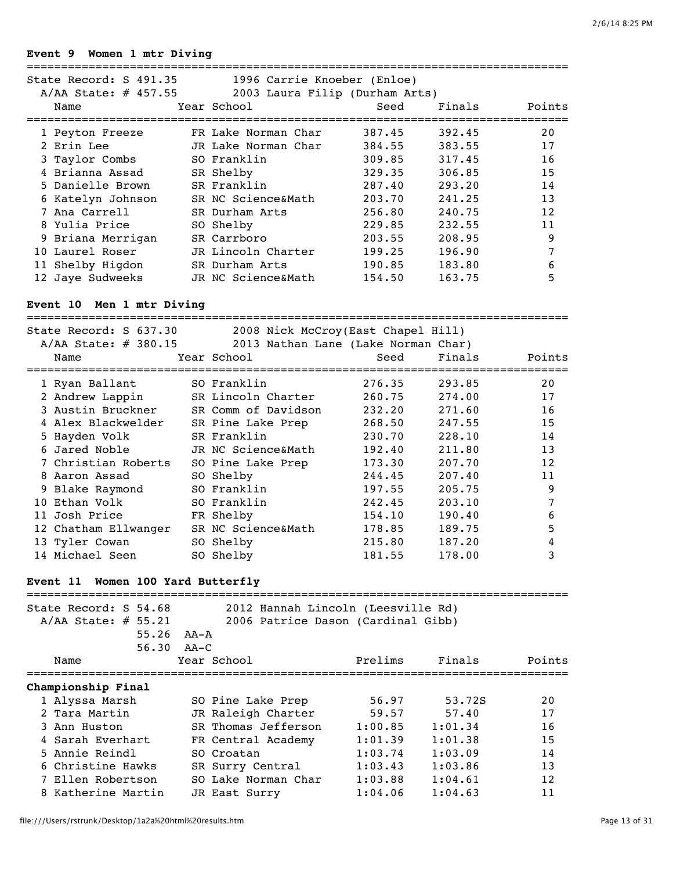#### **Event 9 Women 1 mtr Diving**

| State Record: S 491.35<br>A/AA State: # 457.55 | 1996 Carrie Knoeber (Enloe)<br>2003 Laura Filip (Durham Arts) |        |        |        |
|------------------------------------------------|---------------------------------------------------------------|--------|--------|--------|
| Name                                           | Year School                                                   | Seed   | Finals | Points |
| 1 Peyton Freeze                                | FR Lake Norman Char                                           | 387.45 | 392.45 | 20     |
| 2 Erin Lee                                     | JR Lake Norman Char                                           | 384.55 | 383.55 | 17     |
| 3 Taylor Combs                                 | SO Franklin                                                   | 309.85 | 317.45 | 16     |
| 4 Brianna Assad                                | SR Shelby                                                     | 329.35 | 306.85 | 15     |
| 5 Danielle Brown                               | SR Franklin                                                   | 287.40 | 293.20 | 14     |
| 6 Katelyn Johnson                              | SR NC Science&Math                                            | 203.70 | 241.25 | 13     |
| 7 Ana Carrell                                  | SR Durham Arts                                                | 256.80 | 240.75 | 12     |
| 8 Yulia Price                                  | SO Shelby                                                     | 229.85 | 232.55 | 11     |
| 9 Briana Merrigan                              | SR Carrboro                                                   | 203.55 | 208.95 | 9      |
| 10 Laurel Roser                                | JR Lincoln Charter                                            | 199.25 | 196.90 | 7      |
| 11 Shelby Higdon                               | SR Durham Arts                                                | 190.85 | 183.80 | 6      |
| 12 Jaye Sudweeks                               | JR NC Science&Math                                            | 154.50 | 163.75 | 5      |

#### **Event 10 Men 1 mtr Diving**

=============================================================================== State Record: S 637.30 2008 Nick McCroy(East Chapel Hill) A/AA State: # 380.15 2013 Nathan Lane (Lake Norman Char) Name Year School Name Seed Finals Points =============================================================================== 1 Ryan Ballant SO Franklin 276.35 293.85 20 2 Andrew Lappin SR Lincoln Charter 260.75 274.00 17 3 Austin Bruckner SR Comm of Davidson 232.20 271.60 16 4 Alex Blackwelder SR Pine Lake Prep 268.50 247.55 15 5 Hayden Volk SR Franklin 230.70 228.10 14 6 Jared Noble JR NC Science&Math 192.40 211.80 13 7 Christian Roberts SO Pine Lake Prep 173.30 207.70 12 8 Aaron Assad SO Shelby 244.45 207.40 11 9 Blake Raymond SO Franklin 197.55 205.75 9 10 Ethan Volk SO Franklin 242.45 203.10 7 11 Josh Price FR Shelby 154.10 190.40 6 12 Chatham Ellwanger SR NC Science&Math 178.85 189.75 5 13 Tyler Cowan SO Shelby 215.80 187.20 4 14 Michael Seen SO Shelby 181.55 178.00 3

## **Event 11 Women 100 Yard Butterfly**

| State Record: S 54.68<br>$A/AA$ State: # 55.21 | 2012 Hannah Lincoln (Leesville Rd)<br>2006 Patrice Dason (Cardinal Gibb) |         |         |        |  |  |  |
|------------------------------------------------|--------------------------------------------------------------------------|---------|---------|--------|--|--|--|
| 55.26                                          | AA-A                                                                     |         |         |        |  |  |  |
| 56.30                                          | AA-C                                                                     |         |         |        |  |  |  |
| Name                                           | Year School                                                              | Prelims | Finals  | Points |  |  |  |
| Championship Final                             |                                                                          |         |         |        |  |  |  |
| 1 Alyssa Marsh                                 | SO Pine Lake Prep                                                        | 56.97   | 53.72S  | 20     |  |  |  |
| 2 Tara Martin                                  | JR Raleigh Charter                                                       | 59.57   | 57.40   | 17     |  |  |  |
| 3 Ann Huston                                   | SR Thomas Jefferson                                                      | 1:00.85 | 1:01.34 | 16     |  |  |  |
| 4 Sarah Everhart                               | FR Central Academy                                                       | 1:01.39 | 1:01.38 | 1.5    |  |  |  |
| 5 Annie Reindl                                 | SO Croatan                                                               | 1:03.74 | 1:03.09 | 14     |  |  |  |
| 6 Christine Hawks                              | SR Surry Central                                                         | 1:03.43 | 1:03.86 | 13     |  |  |  |
| 7 Ellen Robertson                              | SO Lake Norman Char                                                      | 1:03.88 | 1:04.61 | 12     |  |  |  |
| 8 Katherine Martin                             | JR East Surry                                                            | 1:04.06 | 1:04.63 | 11     |  |  |  |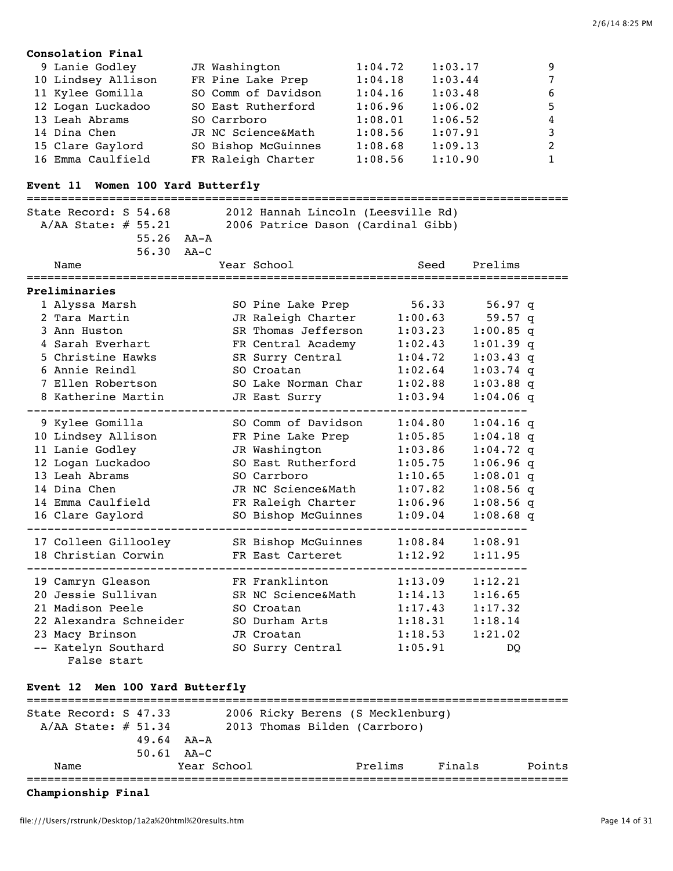| Consolation Final  |  |                     |         |         |   |  |  |  |  |  |  |  |  |
|--------------------|--|---------------------|---------|---------|---|--|--|--|--|--|--|--|--|
| 9 Lanie Godley     |  | JR Washington       | 1:04.72 | 1:03.17 | 9 |  |  |  |  |  |  |  |  |
| 10 Lindsey Allison |  | FR Pine Lake Prep   | 1:04.18 | 1:03.44 | 7 |  |  |  |  |  |  |  |  |
| 11 Kylee Gomilla   |  | SO Comm of Davidson | 1:04.16 | 1:03.48 | 6 |  |  |  |  |  |  |  |  |
| 12 Logan Luckadoo  |  | SO East Rutherford  | 1:06.96 | 1:06.02 | 5 |  |  |  |  |  |  |  |  |
| 13 Leah Abrams     |  | SO Carrboro         | 1:08.01 | 1:06.52 | 4 |  |  |  |  |  |  |  |  |
| 14 Dina Chen       |  | JR NC Science&Math  | 1:08.56 | 1:07.91 | 3 |  |  |  |  |  |  |  |  |
| 15 Clare Gaylord   |  | SO Bishop McGuinnes | 1:08.68 | 1:09.13 | 2 |  |  |  |  |  |  |  |  |
| 16 Emma Caulfield  |  | FR Raleigh Charter  | 1:08.56 | 1:10.90 |   |  |  |  |  |  |  |  |  |

# **Event 11 Women 100 Yard Butterfly**

| State Record: S 54.68<br>A/AA State: $\#$ 55.21<br>55.26 AA-A |  | 2012 Hannah Lincoln (Leesville Rd)<br>2006 Patrice Dason (Cardinal Gibb) |         |             |  |
|---------------------------------------------------------------|--|--------------------------------------------------------------------------|---------|-------------|--|
| 56.30 AA-C<br>Name                                            |  | Year School                                                              | Seed    | Prelims     |  |
| Preliminaries                                                 |  |                                                                          |         |             |  |
| 1 Alyssa Marsh                                                |  | SO Pine Lake Prep                                                        | 56.33   | $56.97$ q   |  |
| 2 Tara Martin                                                 |  | JR Raleigh Charter                                                       | 1:00.63 | $59.57$ q   |  |
| 3 Ann Huston                                                  |  | SR Thomas Jefferson                                                      | 1:03.23 | $1:00.85$ q |  |
| 4 Sarah Everhart                                              |  | FR Central Academy                                                       | 1:02.43 | $1:01.39$ q |  |
| 5 Christine Hawks                                             |  | SR Surry Central                                                         | 1:04.72 | $1:03.43$ q |  |
| 6 Annie Reindl                                                |  | SO Croatan                                                               | 1:02.64 | $1:03.74$ q |  |
| 7 Ellen Robertson                                             |  | SO Lake Norman Char                                                      | 1:02.88 | $1:03.88$ q |  |
| 8 Katherine Martin                                            |  | JR East Surry                                                            | 1:03.94 | $1:04.06$ q |  |
| 9 Kylee Gomilla                                               |  | SO Comm of Davidson                                                      | 1:04.80 | $1:04.16$ q |  |
| 10 Lindsey Allison                                            |  | FR Pine Lake Prep                                                        | 1:05.85 | $1:04.18$ q |  |
| 11 Lanie Godley                                               |  | JR Washington                                                            | 1:03.86 | $1:04.72$ q |  |
| 12 Logan Luckadoo                                             |  | SO East Rutherford                                                       | 1:05.75 | $1:06.96$ q |  |
| 13 Leah Abrams                                                |  | SO Carrboro                                                              | 1:10.65 | $1:08.01$ q |  |
| 14 Dina Chen                                                  |  | JR NC Science&Math                                                       | 1:07.82 | $1:08.56$ q |  |
| 14 Emma Caulfield                                             |  | FR Raleigh Charter                                                       | 1:06.96 | $1:08.56$ q |  |
| 16 Clare Gaylord                                              |  | SO Bishop McGuinnes                                                      | 1:09.04 | $1:08.68$ q |  |
| 17 Colleen Gillooley                                          |  | SR Bishop McGuinnes                                                      | 1:08.84 | 1:08.91     |  |
| 18 Christian Corwin                                           |  | FR East Carteret                                                         | 1:12.92 | 1:11.95     |  |
| 19 Camryn Gleason                                             |  | FR Franklinton                                                           | 1:13.09 | 1:12.21     |  |
| 20 Jessie Sullivan                                            |  | SR NC Science&Math                                                       | 1:14.13 | 1:16.65     |  |
| 21 Madison Peele                                              |  | SO Croatan                                                               | 1:17.43 | 1:17.32     |  |
| 22 Alexandra Schneider                                        |  | SO Durham Arts                                                           | 1:18.31 | 1:18.14     |  |
| 23 Macy Brinson                                               |  | JR Croatan                                                               | 1:18.53 | 1:21.02     |  |
| -- Katelyn Southard<br>False start                            |  | SO Surry Central                                                         | 1:05.91 | DO.         |  |

## **Event 12 Men 100 Yard Butterfly**

| State Record: S 47.33 |                  |             |  | 2006 Ricky Berens (S Mecklenburg) |        |        |
|-----------------------|------------------|-------------|--|-----------------------------------|--------|--------|
| $A/AA$ State: # 51.34 |                  |             |  | 2013 Thomas Bilden (Carrboro)     |        |        |
|                       | $49.64$ $AA - A$ |             |  |                                   |        |        |
|                       | $50.61$ $AA-C$   |             |  |                                   |        |        |
| Name                  |                  | Year School |  | Prelims                           | Finals | Points |
|                       |                  |             |  |                                   |        |        |

**Championship Final**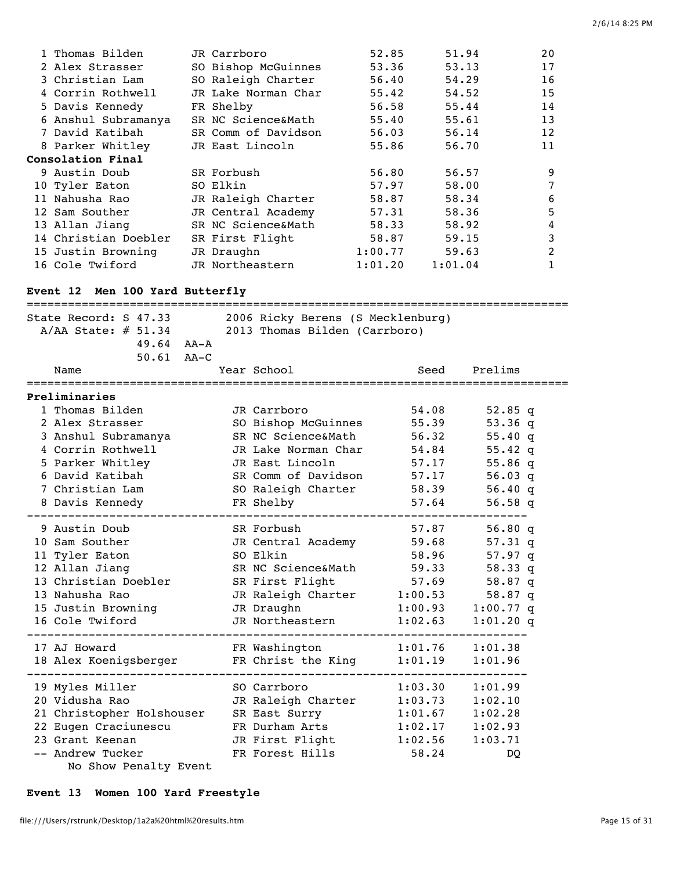| 1 Thomas Bilden          | JR Carrboro         | 52.85   | 51.94   | 20 |
|--------------------------|---------------------|---------|---------|----|
| 2 Alex Strasser          | SO Bishop McGuinnes | 53.36   | 53.13   | 17 |
| 3 Christian Lam          | SO Raleigh Charter  | 56.40   | 54.29   | 16 |
| 4 Corrin Rothwell        | JR Lake Norman Char | 55.42   | 54.52   | 15 |
| 5 Davis Kennedy          | FR Shelby           | 56.58   | 55.44   | 14 |
| 6 Anshul Subramanya      | SR NC Science&Math  | 55.40   | 55.61   | 13 |
| 7 David Katibah          | SR Comm of Davidson | 56.03   | 56.14   | 12 |
| 8 Parker Whitley         | JR East Lincoln     | 55.86   | 56.70   | 11 |
| <b>Consolation Final</b> |                     |         |         |    |
| 9 Austin Doub            | SR Forbush          | 56.80   | 56.57   | 9  |
| 10 Tyler Eaton           | SO Elkin            | 57.97   | 58.00   | 7  |
| 11 Nahusha Rao           | JR Raleigh Charter  | 58.87   | 58.34   | 6  |
| 12 Sam Souther           | JR Central Academy  | 57.31   | 58.36   | 5  |
| 13 Allan Jiang           | SR NC Science&Math  | 58.33   | 58.92   | 4  |
| 14 Christian Doebler     | SR First Flight     | 58.87   | 59.15   | 3  |
| 15 Justin Browning       | JR Draughn          | 1:00.77 | 59.63   | 2  |
| 16 Cole Twiford          | JR Northeastern     | 1:01.20 | 1:01.04 | 1  |
|                          |                     |         |         |    |

# **Event 12 Men 100 Yard Butterfly**

| State Record: S 47.33<br>$A/AA$ State: $\#$ 51.34 | 2006 Ricky Berens (S Mecklenburg)<br>2013 Thomas Bilden (Carrboro) |         |             |  |
|---------------------------------------------------|--------------------------------------------------------------------|---------|-------------|--|
| $49.64$ $AA - A$                                  |                                                                    |         |             |  |
| $50.61$ $AA-C$                                    |                                                                    |         |             |  |
| Name                                              | Year School                                                        | Seed    | Prelims     |  |
| Preliminaries                                     |                                                                    |         |             |  |
| 1 Thomas Bilden                                   | JR Carrboro                                                        | 54.08   | 52.85 q     |  |
| 2 Alex Strasser                                   | SO Bishop McGuinnes                                                | 55.39   | 53.36q      |  |
| 3 Anshul Subramanya                               | SR NC Science&Math                                                 | 56.32   | 55.40q      |  |
| 4 Corrin Rothwell                                 | JR Lake Norman Char                                                | 54.84   | $55.42$ q   |  |
| 5 Parker Whitley                                  | JR East Lincoln                                                    | 57.17   | 55.86 q     |  |
| 6 David Katibah                                   | SR Comm of Davidson                                                | 57.17   | 56.03 q     |  |
| 7 Christian Lam                                   | SO Raleigh Charter                                                 | 58.39   | 56.40q      |  |
| 8 Davis Kennedy                                   | FR Shelby                                                          | 57.64   | 56.58q      |  |
| 9 Austin Doub                                     | SR Forbush                                                         | 57.87   | 56.80q      |  |
| 10 Sam Souther                                    | JR Central Academy                                                 | 59.68   | $57.31$ q   |  |
| 11 Tyler Eaton                                    | SO Elkin                                                           | 58.96   | 57.97q      |  |
| 12 Allan Jiang                                    | SR NC Science&Math                                                 | 59.33   | 58.33q      |  |
| 13 Christian Doebler                              | SR First Flight                                                    | 57.69   | 58.87 q     |  |
| 13 Nahusha Rao                                    | JR Raleigh Charter                                                 | 1:00.53 | 58.87 q     |  |
| 15 Justin Browning                                | JR Draughn                                                         | 1:00.93 | $1:00.77$ q |  |
| 16 Cole Twiford                                   | JR Northeastern                                                    | 1:02.63 | $1:01.20$ q |  |
| 17 AJ Howard                                      | FR Washington                                                      | 1:01.76 | 1:01.38     |  |
| 18 Alex Koenigsberger                             | FR Christ the King                                                 | 1:01.19 | 1:01.96     |  |
| 19 Myles Miller                                   | SO Carrboro                                                        | 1:03.30 | 1:01.99     |  |
| 20 Vidusha Rao                                    | JR Raleigh Charter                                                 | 1:03.73 | 1:02.10     |  |
| 21 Christopher Holshouser                         | SR East Surry                                                      | 1:01.67 | 1:02.28     |  |
| 22 Eugen Craciunescu                              | FR Durham Arts                                                     | 1:02.17 | 1:02.93     |  |
| 23 Grant Keenan                                   | JR First Flight                                                    | 1:02.56 | 1:03.71     |  |
| -- Andrew Tucker                                  | FR Forest Hills                                                    | 58.24   | DQ          |  |
| No Show Penalty Event                             |                                                                    |         |             |  |

# **Event 13 Women 100 Yard Freestyle**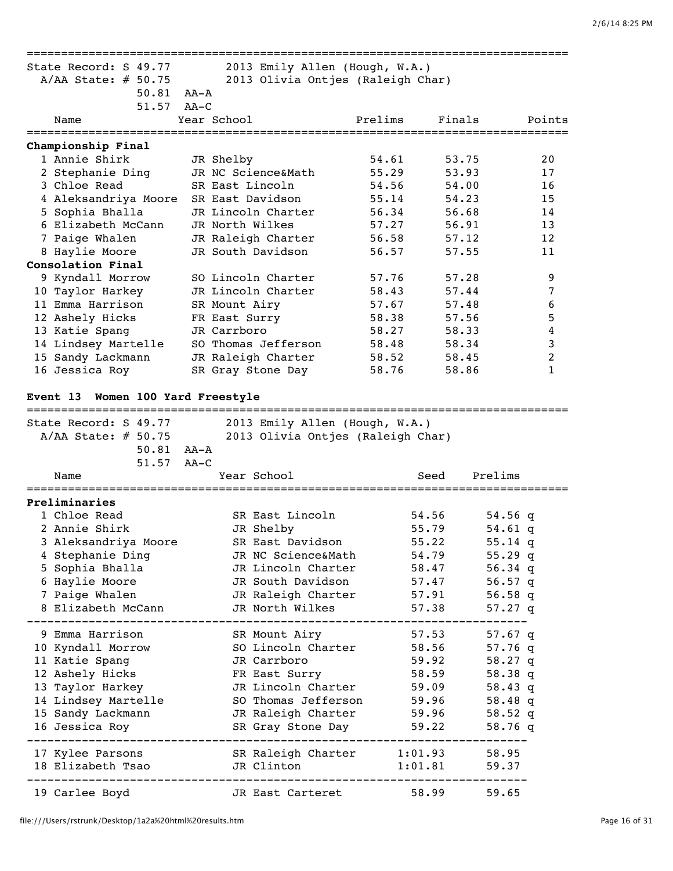| State Record: S 49.77                       |        | 2013 Emily Allen (Hough, W.A.)    |         |                 |           |                |
|---------------------------------------------|--------|-----------------------------------|---------|-----------------|-----------|----------------|
| A/AA State: $# 50.75$                       |        | 2013 Olivia Ontjes (Raleigh Char) |         |                 |           |                |
| $50.81$ AA-A                                |        |                                   |         |                 |           |                |
| 51.57                                       | AA-C   |                                   |         |                 |           |                |
| Name                                        |        | Year School                       | Prelims | Finals          |           | Points         |
| Championship Final                          |        |                                   |         |                 |           |                |
| 1 Annie Shirk                               |        | JR Shelby                         | 54.61   | 53.75           |           | 20             |
| 2 Stephanie Ding                            |        | JR NC Science&Math                | 55.29   | 53.93           |           | 17             |
| 3 Chloe Read                                |        | SR East Lincoln                   | 54.56   | 54.00           |           | 16             |
| 4 Aleksandriya Moore                        |        | SR East Davidson                  | 55.14   | 54.23           |           | 15             |
| 5 Sophia Bhalla                             |        | JR Lincoln Charter                | 56.34   | 56.68           |           | 14             |
| 6 Elizabeth McCann                          |        | JR North Wilkes                   | 57.27   | 56.91           |           | 13             |
| 7 Paige Whalen                              |        | JR Raleigh Charter                | 56.58   | 57.12           |           | 12             |
| 8 Haylie Moore                              |        | JR South Davidson                 | 56.57   | 57.55           |           | 11             |
| Consolation Final                           |        |                                   |         |                 |           |                |
| 9 Kyndall Morrow                            |        | SO Lincoln Charter                | 57.76   | 57.28           |           | 9              |
| 10 Taylor Harkey                            |        | JR Lincoln Charter                | 58.43   | 57.44           |           | $\overline{7}$ |
| 11 Emma Harrison                            |        | SR Mount Airy                     | 57.67   | 57.48           |           | 6              |
| 12 Ashely Hicks                             |        | FR East Surry                     | 58.38   | 57.56           |           | 5              |
| 13 Katie Spang                              |        | JR Carrboro                       | 58.27   | 58.33           |           | 4              |
| 14 Lindsey Martelle                         |        | SO Thomas Jefferson               | 58.48   | 58.34           |           | 3              |
| 15 Sandy Lackmann                           |        | JR Raleigh Charter                | 58.52   | 58.45           |           | $\overline{2}$ |
| 16 Jessica Roy                              |        | SR Gray Stone Day                 | 58.76   | 58.86           |           | 1              |
|                                             |        |                                   |         |                 |           |                |
| Event 13 Women 100 Yard Freestyle           |        |                                   |         |                 |           |                |
|                                             |        |                                   |         |                 |           |                |
| State Record: S 49.77                       |        | 2013 Emily Allen (Hough, W.A.)    |         |                 |           |                |
| A/AA State: $# 50.75$                       |        | 2013 Olivia Ontjes (Raleigh Char) |         |                 |           |                |
| 50.81 AA-A                                  |        |                                   |         |                 |           |                |
| 51.57                                       | $AA-C$ |                                   |         |                 |           |                |
| Name                                        |        | Year School                       |         | Seed            | Prelims   |                |
| Preliminaries                               |        |                                   |         |                 |           |                |
| 1 Chloe Read                                |        | SR East Lincoln                   |         | 54.56           | $54.56$ q |                |
| 2 Annie Shirk                               |        | JR Shelby                         |         | 55.79           | 54.61 q   |                |
| 3 Aleksandriya Moore                        |        | SR East Davidson                  |         | 55.22           | 55.14 q   |                |
| 4 Stephanie Ding                            |        | JR NC Science&Math                |         | 54.79           | $55.29$ q |                |
| 5 Sophia Bhalla                             |        | JR Lincoln Charter                |         | 58.47           | 56.34 $q$ |                |
| 6 Haylie Moore                              |        | JR South Davidson                 |         | 57.47           | 56.57 q   |                |
| 7 Paige Whalen                              |        | JR Raleigh Charter 57.91          |         |                 | $56.58$ q |                |
| 8 Elizabeth McCann                          |        | JR North Wilkes                   |         | 57.38           | $57.27$ q |                |
|                                             |        |                                   |         |                 |           |                |
| 9 Emma Harrison                             |        | SR Mount Airy                     |         | 57.53           | 57.67 q   |                |
| 10 Kyndall Morrow                           |        | SO Lincoln Charter                |         | 58.56           | 57.76 q   |                |
| 11 Katie Spang                              |        | JR Carrboro                       |         | 59.92           | 58.27 q   |                |
| 12 Ashely Hicks                             |        | FR East Surry                     |         | 58.59           | 58.38q    |                |
| 13 Taylor Harkey                            |        | JR Lincoln Charter                |         | 59.09           | 58.43 q   |                |
| 14 Lindsey Martelle                         |        | SO Thomas Jefferson               |         | 59.96           | 58.48 $q$ |                |
| 15 Sandy Lackmann                           |        | JR Raleigh Charter 59.96          |         |                 | 58.52 $q$ |                |
| 16 Jessica Roy                              |        | SR Gray Stone Day 59.22           |         |                 | 58.76q    |                |
|                                             |        |                                   |         |                 |           |                |
| 17 Kylee Parsons SR Raleigh Charter 1:01.93 |        |                                   |         |                 | 58.95     |                |
| 18 Elizabeth Tsao                           |        | JR Clinton                        |         | $1:01.81$ 59.37 |           |                |
|                                             |        |                                   |         |                 |           |                |
| 19 Carlee Boyd                              |        | JR East Carteret 58.99            |         |                 | 59.65     |                |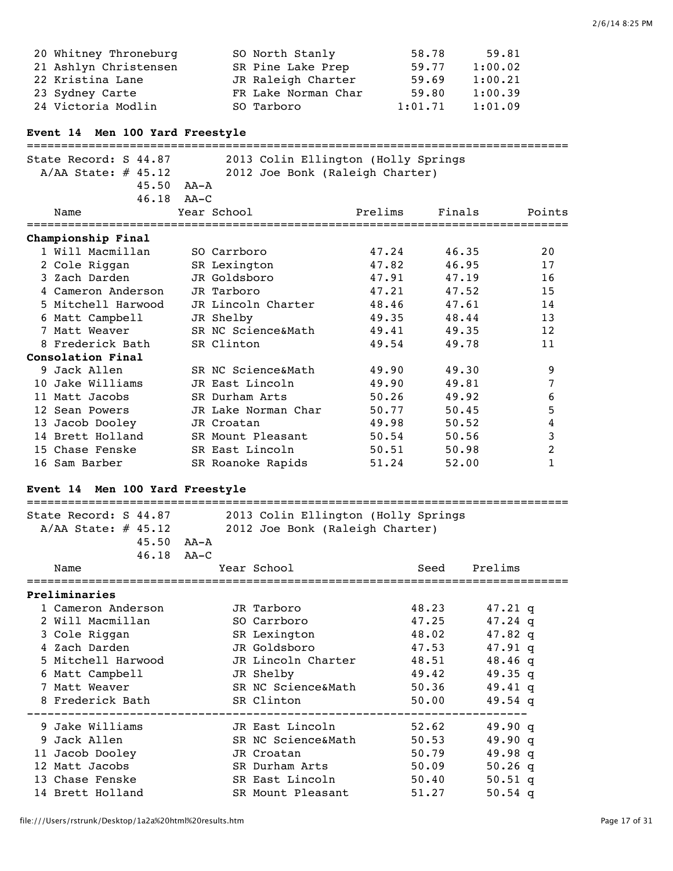| 20 Whitney Throneburg | SO North Stanly     | 58.78   | 59.81   |
|-----------------------|---------------------|---------|---------|
| 21 Ashlyn Christensen | SR Pine Lake Prep   | 59.77   | 1:00.02 |
| 22 Kristina Lane      | JR Raleigh Charter  | 59.69   | 1:00.21 |
| 23 Sydney Carte       | FR Lake Norman Char | 59.80   | 1:00.39 |
| 24 Victoria Modlin    | SO Tarboro          | 1:01.71 | 1:01.09 |

## **Event 14 Men 100 Yard Freestyle**

===============================================================================

| State Record: S 44.87<br>$A/AA$ State: # 45.12<br>$45.50$ $AA - A$<br>$46.18$ $AA-C$ |                     | 2013 Colin Ellington (Holly Springs<br>2012 Joe Bonk (Raleigh Charter) |        |        |
|--------------------------------------------------------------------------------------|---------------------|------------------------------------------------------------------------|--------|--------|
| Name                                                                                 | Year School         | Prelims                                                                | Finals | Points |
| Championship Final                                                                   |                     |                                                                        |        |        |
| 1 Will Macmillan                                                                     | SO Carrboro         | 47.24                                                                  | 46.35  | 20     |
| 2 Cole Riggan                                                                        | SR Lexington        | 47.82                                                                  | 46.95  | 17     |
| 3 Zach Darden                                                                        | JR Goldsboro        | 47.91                                                                  | 47.19  | 16     |
| 4 Cameron Anderson                                                                   | JR Tarboro          | 47.21                                                                  | 47.52  | 15     |
| 5 Mitchell Harwood                                                                   | JR Lincoln Charter  | 48.46                                                                  | 47.61  | 14     |
| 6 Matt Campbell                                                                      | JR Shelby           | 49.35                                                                  | 48.44  | 13     |
| 7 Matt Weaver                                                                        | SR NC Science&Math  | 49.41                                                                  | 49.35  | 12     |
| 8 Frederick Bath                                                                     | SR Clinton          | 49.54                                                                  | 49.78  | 11     |
| Consolation Final                                                                    |                     |                                                                        |        |        |
| 9 Jack Allen                                                                         | SR NC Science&Math  | 49.90                                                                  | 49.30  | 9      |
| 10 Jake Williams                                                                     | JR East Lincoln     | 49.90                                                                  | 49.81  | 7      |
| 11 Matt Jacobs                                                                       | SR Durham Arts      | 50.26                                                                  | 49.92  | 6      |
| 12 Sean Powers                                                                       | JR Lake Norman Char | 50.77                                                                  | 50.45  | 5      |
| 13 Jacob Dooley                                                                      | JR Croatan          | 49.98                                                                  | 50.52  | 4      |
| 14 Brett Holland                                                                     | SR Mount Pleasant   | 50.54                                                                  | 50.56  | 3      |
| 15 Chase Fenske                                                                      | SR East Lincoln     | 50.51                                                                  | 50.98  | 2      |
| 16 Sam Barber                                                                        | SR Roanoke Rapids   | 51.24                                                                  | 52.00  | 1      |

## **Event 14 Men 100 Yard Freestyle**

| State Record: S 44.87<br>A/AA State: $\#$ 45.12 | 2013 Colin Ellington (Holly Springs<br>2012 Joe Bonk (Raleigh Charter) |       |                   |  |  |
|-------------------------------------------------|------------------------------------------------------------------------|-------|-------------------|--|--|
| $45.50$ $AA - A$                                |                                                                        |       |                   |  |  |
| $46.18$ $AA-C$                                  |                                                                        |       |                   |  |  |
| Name                                            | Year School                                                            | Seed  | Prelims           |  |  |
| Preliminaries                                   |                                                                        |       |                   |  |  |
| 1 Cameron Anderson                              | JR Tarboro                                                             | 48.23 | 47.21 q           |  |  |
| 2 Will Macmillan                                | SO Carrboro                                                            | 47.25 | $47.24$ q         |  |  |
| 3 Cole Riggan                                   | SR Lexington                                                           | 48.02 | $47.82 \text{ g}$ |  |  |
| 4 Zach Darden                                   | JR Goldsboro                                                           | 47.53 | 47.91 q           |  |  |
| 5 Mitchell Harwood                              | JR Lincoln Charter 48.51                                               |       | $48.46$ q         |  |  |
| 6 Matt Campbell                                 | JR Shelby                                                              | 49.42 | $49.35$ q         |  |  |
| 7 Matt Weaver                                   | SR NC Science&Math 50.36                                               |       | $49.41$ q         |  |  |
| 8 Frederick Bath                                | SR Clinton                                                             | 50.00 | 49.54 q           |  |  |
| 9 Jake Williams                                 | JR East Lincoln                                                        | 52.62 | 49.90q            |  |  |
| 9 Jack Allen                                    | SR NC Science&Math                                                     | 50.53 | 49.90q            |  |  |
| 11 Jacob Dooley                                 | JR Croatan                                                             | 50.79 | 49.98q            |  |  |
| 12 Matt Jacobs                                  | SR Durham Arts                                                         | 50.09 | 50.26 q           |  |  |
| 13 Chase Fenske                                 | SR East Lincoln                                                        | 50.40 | 50.51 q           |  |  |
| 14 Brett Holland                                | SR Mount Pleasant                                                      | 51.27 | $50.54$ q         |  |  |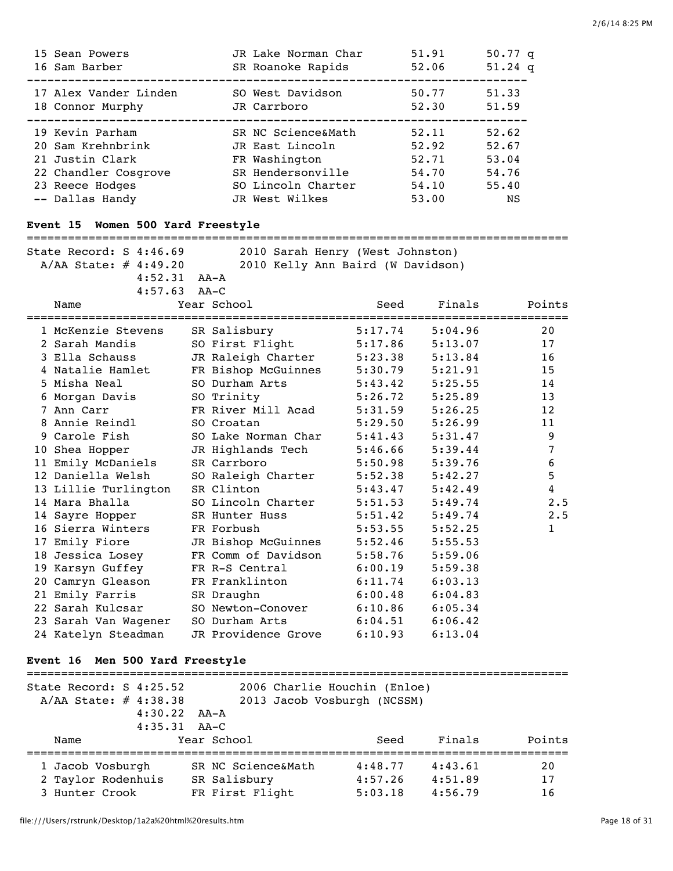| 15 Sean Powers<br>16 Sam Barber                                                                    | JR Lake Norman Char<br>SR Roanoke Rapids                                                          | 51.91<br>52.06                            | 50.77 q<br>$51.24$ q                      |
|----------------------------------------------------------------------------------------------------|---------------------------------------------------------------------------------------------------|-------------------------------------------|-------------------------------------------|
| 17 Alex Vander Linden<br>18 Connor Murphy                                                          | SO West Davidson<br>JR Carrboro                                                                   | 50.77<br>52.30                            | 51.33<br>51.59                            |
| 19 Kevin Parham<br>20 Sam Krehnbrink<br>21 Justin Clark<br>22 Chandler Cosgrove<br>23 Reece Hodges | SR NC Science&Math<br>JR East Lincoln<br>FR Washington<br>SR Hendersonville<br>SO Lincoln Charter | 52.11<br>52.92<br>52.71<br>54.70<br>54.10 | 52.62<br>52.67<br>53.04<br>54.76<br>55.40 |
| -- Dallas Handy                                                                                    | JR West Wilkes                                                                                    | 53.00                                     | NS                                        |

## **Event 15 Women 500 Yard Freestyle**

#### ===============================================================================

| State Record: S 4:46.69    |                  |             |  |  |      | 2010 Sarah Henry (West Johnston)  |        |
|----------------------------|------------------|-------------|--|--|------|-----------------------------------|--------|
| $A/AA$ State: $\#$ 4:49.20 |                  |             |  |  |      | 2010 Kelly Ann Baird (W Davidson) |        |
|                            | $4:52.31$ $AA-A$ |             |  |  |      |                                   |        |
|                            | $4:57.63$ $AA-C$ |             |  |  |      |                                   |        |
| Name                       |                  | Year School |  |  | Seed | Finals                            | Points |

| Nallle               | rear pchoor         | seeu    | r THATS | POINCS                |
|----------------------|---------------------|---------|---------|-----------------------|
| 1 McKenzie Stevens   | SR Salisbury        | 5:17.74 | 5:04.96 | ===============<br>20 |
| 2 Sarah Mandis       | SO First Flight     | 5:17.86 | 5:13.07 | 17                    |
| 3 Ella Schauss       | JR Raleigh Charter  | 5:23.38 | 5:13.84 | 16                    |
| 4 Natalie Hamlet     | FR Bishop McGuinnes | 5:30.79 | 5:21.91 | 15                    |
| 5 Misha Neal         | SO Durham Arts      | 5:43.42 | 5:25.55 | 14                    |
| 6 Morgan Davis       | SO Trinity          | 5:26.72 | 5:25.89 | 13                    |
| 7 Ann Carr           | FR River Mill Acad  | 5:31.59 | 5:26.25 | 12                    |
| 8 Annie Reindl       | SO Croatan          | 5:29.50 | 5:26.99 | 11                    |
| 9 Carole Fish        | SO Lake Norman Char | 5:41.43 | 5:31.47 | 9                     |
| 10 Shea Hopper       | JR Highlands Tech   | 5:46.66 | 5:39.44 | $\overline{7}$        |
| 11 Emily McDaniels   | SR Carrboro         | 5:50.98 | 5:39.76 | 6                     |
| 12 Daniella Welsh    | SO Raleigh Charter  | 5:52.38 | 5:42.27 | 5                     |
| 13 Lillie Turlington | SR Clinton          | 5:43.47 | 5:42.49 | $\overline{4}$        |
| 14 Mara Bhalla       | SO Lincoln Charter  | 5:51.53 | 5:49.74 | 2.5                   |
| 14 Sayre Hopper      | SR Hunter Huss      | 5:51.42 | 5:49.74 | 2.5                   |
| 16 Sierra Winters    | FR Forbush          | 5:53.55 | 5:52.25 | $\mathbf{1}$          |
| 17 Emily Fiore       | JR Bishop McGuinnes | 5:52.46 | 5:55.53 |                       |
| 18 Jessica Losey     | FR Comm of Davidson | 5:58.76 | 5:59.06 |                       |
| 19 Karsyn Guffey     | FR R-S Central      | 6:00.19 | 5:59.38 |                       |
| 20 Camryn Gleason    | FR Franklinton      | 6:11.74 | 6:03.13 |                       |
| 21 Emily Farris      | SR Draughn          | 6:00.48 | 6:04.83 |                       |
| 22 Sarah Kulcsar     | SO Newton-Conover   | 6:10.86 | 6:05.34 |                       |
| 23 Sarah Van Wagener | SO Durham Arts      | 6:04.51 | 6:06.42 |                       |
| 24 Katelyn Steadman  | JR Providence Grove | 6:10.93 | 6:13.04 |                       |

## **Event 16 Men 500 Yard Freestyle**

| State Record: $S$ 4:25.52<br>A/AA State: # 4:38.38 | $4:30.22$ $AA-A$<br>$4:35.31$ $AA-C$ |                                    | 2006 Charlie Houchin (Enloe)<br>2013 Jacob Vosburgh (NCSSM) |                    |          |
|----------------------------------------------------|--------------------------------------|------------------------------------|-------------------------------------------------------------|--------------------|----------|
| Name                                               |                                      | Year School                        | Seed                                                        | Finals             | Points   |
| 1 Jacob Vosburgh<br>2 Taylor Rodenhuis             |                                      | SR NC Science&Math<br>SR Salisbury | 4:48.77<br>4:57.26                                          | 4:43.61<br>4:51.89 | 20<br>17 |
| 3 Hunter Crook                                     |                                      | FR First Flight                    | 5:03.18                                                     | 4:56.79            | 16       |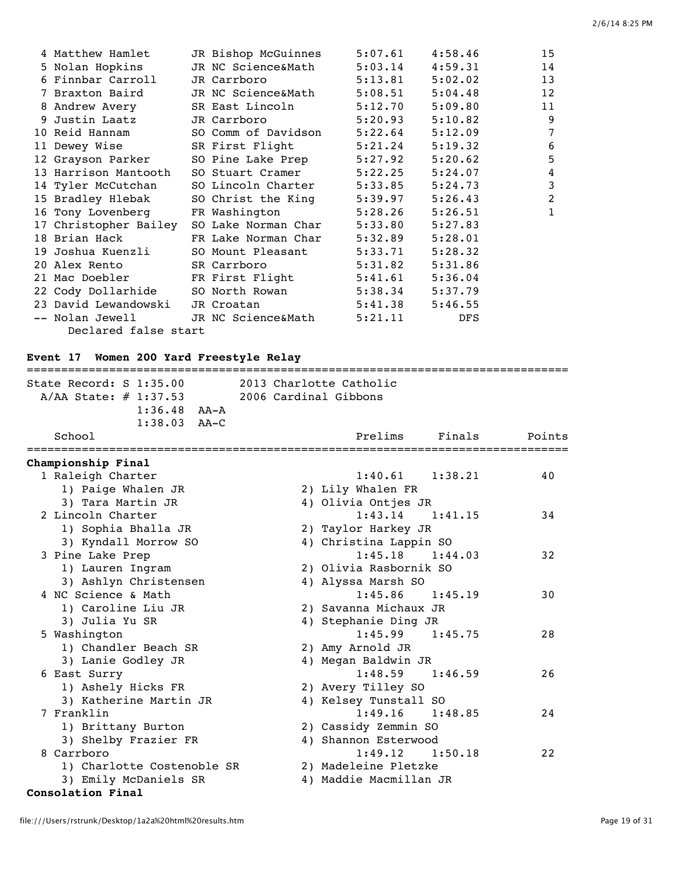|  | 4 Matthew Hamlet                | JR Bishop McGuinnes                            | 5:07.61             | 4:58.46    | 15             |
|--|---------------------------------|------------------------------------------------|---------------------|------------|----------------|
|  | 5 Nolan Hopkins                 | JR NC Science&Math                             | 5:03.14             | 4:59.31    | 14             |
|  | 6 Finnbar Carroll               | JR Carrboro                                    | $5:13.81$ $5:02.02$ |            | 13             |
|  | 7 Braxton Baird                 | JR NC Science&Math                             | 5:08.51             | 5:04.48    | 12             |
|  | 8 Andrew Avery                  | SR East Lincoln                                | 5:12.70             | 5:09.80    | 11             |
|  | 9 Justin Laatz                  | JR Carrboro                                    | $5:20.93$ $5:10.82$ |            | 9              |
|  |                                 | 10 Reid Hannam             SO Comm of Davidson | 5:22.64             | 5:12.09    | 7              |
|  | 11 Dewey Wise                   | SR First Flight                                | 5:21.24             | 5:19.32    | 6              |
|  |                                 | 12 Grayson Parker 50 Pine Lake Prep            | 5:27.92             | 5:20.62    | 5              |
|  | 13 Harrison Mantooth            | SO Stuart Cramer                               | 5:22.25             | 5:24.07    | $\overline{4}$ |
|  |                                 | 14 Tyler McCutchan SO Lincoln Charter          | 5:33.85             | 5:24.73    | 3              |
|  |                                 | 15 Bradley Hlebak SO Christ the King           | 5:39.97             | 5:26.43    | $\overline{2}$ |
|  |                                 | 16 Tony Lovenberg FR Washington                | 5:28.26             | 5:26.51    | 1              |
|  |                                 | 17 Christopher Bailey SO Lake Norman Char      | 5:33.80             | 5:27.83    |                |
|  |                                 | 18 Brian Hack [Reflake Norman Char             | 5:32.89             | 5:28.01    |                |
|  |                                 | 19 Joshua Kuenzli     SO Mount Pleasant        | 5:33.71             | 5:28.32    |                |
|  | 20 Alex Rento SR Carrboro       |                                                | 5:31.82             | 5:31.86    |                |
|  |                                 | 21 Mac Doebler FR First Flight                 | 5:41.61             | 5:36.04    |                |
|  |                                 |                                                | $5:38.34$ $5:37.79$ |            |                |
|  | 23 David Lewandowski JR Croatan |                                                | 5:41.38             | 5:46.55    |                |
|  |                                 | -- Nolan Jewell GR NC Science&Math             | 5:21.11             | <b>DFS</b> |                |
|  | Declared false start            |                                                |                     |            |                |
|  |                                 |                                                |                     |            |                |

## **Event 17 Women 200 Yard Freestyle Relay**

| State Record: $S$ 1:35.00<br>2013 Charlotte Catholic<br>2006 Cardinal Gibbons<br>A/AA State: # 1:37.53 |        |
|--------------------------------------------------------------------------------------------------------|--------|
|                                                                                                        |        |
|                                                                                                        |        |
| $1:36.48$ $AA-A$                                                                                       |        |
| $1:38.03$ AA-C                                                                                         |        |
| School<br>Prelims<br>Finals<br>===============                                                         | Points |
| Championship Final                                                                                     |        |
| 1 Raleigh Charter<br>$1:40.61$ $1:38.21$                                                               | 40     |
| 1) Paige Whalen JR<br>2) Lily Whalen FR                                                                |        |
| 4) Olivia Ontjes JR<br>3) Tara Martin JR                                                               |        |
| 2 Lincoln Charter<br>$1:43.14$ $1:41.15$                                                               | 34     |
| 1) Sophia Bhalla JR<br>2) Taylor Harkey JR                                                             |        |
| 4) Christina Lappin SO<br>3) Kyndall Morrow SO                                                         |        |
| 1:45.18<br>3 Pine Lake Prep<br>1:44.03                                                                 | 32     |
| 1) Lauren Ingram<br>2) Olivia Rasbornik SO                                                             |        |
| 3) Ashlyn Christensen<br>4) Alyssa Marsh SO                                                            |        |
| 4 NC Science & Math<br>1:45.86<br>1:45.19                                                              | 30     |
| 1) Caroline Liu JR<br>2) Savanna Michaux JR                                                            |        |
| 3) Julia Yu SR<br>4) Stephanie Ding JR                                                                 |        |
| 5 Washington<br>$1:45.99$ $1:45.75$                                                                    | 28     |
| 1) Chandler Beach SR<br>2) Amy Arnold JR                                                               |        |
| 3) Lanie Godley JR<br>4) Megan Baldwin JR                                                              |        |
| $1:48.59$ $1:46.59$<br>6 East Surry                                                                    | 26     |
| 1) Ashely Hicks FR<br>2) Avery Tilley SO                                                               |        |
| 3) Katherine Martin JR<br>4) Kelsey Tunstall SO                                                        |        |
| 1:49.16<br>7 Franklin<br>1:48.85                                                                       | 24     |
| 1) Brittany Burton<br>2) Cassidy Zemmin SO                                                             |        |
| 4) Shannon Esterwood<br>3) Shelby Frazier FR                                                           |        |
| 8 Carrboro<br>$1:49.12$ $1:50.18$                                                                      | 22     |
| 1) Charlotte Costenoble SR<br>2) Madeleine Pletzke                                                     |        |
| 3) Emily McDaniels SR<br>4) Maddie Macmillan JR                                                        |        |

### **Consolation Final**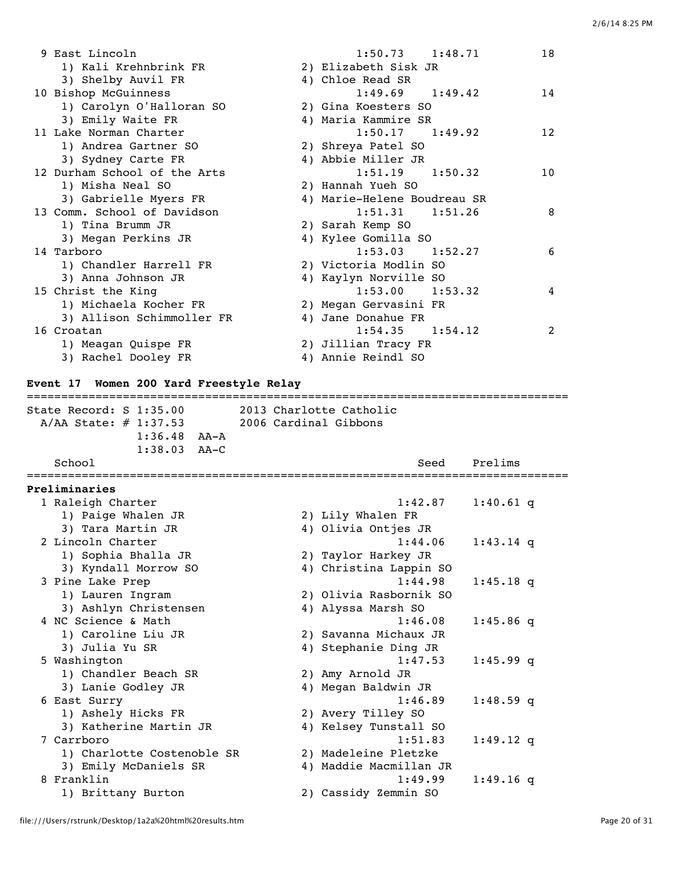| 9 East Lincoln               | $1:50.73$ $1:48.71$         | 18              |
|------------------------------|-----------------------------|-----------------|
| 1) Kali Krehnbrink FR        | 2) Elizabeth Sisk JR        |                 |
| 3) Shelby Auvil FR           | 4) Chloe Read SR            |                 |
| 10 Bishop McGuinness         | $1:49.69$ $1:49.42$         | 14              |
| 1) Carolyn O'Halloran SO     | 2) Gina Koesters SO         |                 |
| 3) Emily Waite FR            | 4) Maria Kammire SR         |                 |
| 11 Lake Norman Charter       | $1:50.17$ $1:49.92$         | 12              |
| 1) Andrea Gartner SO         | 2) Shreya Patel SO          |                 |
| 3) Sydney Carte FR           | 4) Abbie Miller JR          |                 |
| 12 Durham School of the Arts | $1:51.19$ $1:50.32$         | 10 <sup>°</sup> |
| 1) Misha Neal SO             | 2) Hannah Yueh SO           |                 |
| 3) Gabrielle Myers FR        | 4) Marie-Helene Boudreau SR |                 |
| 13 Comm. School of Davidson  | $1:51.31$ $1:51.26$         | 8               |
| 1) Tina Brumm JR             | 2) Sarah Kemp SO            |                 |
| 3) Megan Perkins JR          | 4) Kylee Gomilla SO         |                 |
| 14 Tarboro                   | $1:53.03$ $1:52.27$         | 6               |
| 1) Chandler Harrell FR       | 2) Victoria Modlin SO       |                 |
| 3) Anna Johnson JR           | 4) Kaylyn Norville SO       |                 |
| 15 Christ the King           | $1:53.00$ $1:53.32$         | 4               |
| 1) Michaela Kocher FR        | 2) Megan Gervasini FR       |                 |
| 3) Allison Schimmoller FR    | 4) Jane Donahue FR          |                 |
| 16 Croatan                   | $1:54.35$ $1:54.12$         | $\mathfrak{D}$  |
| 1) Meagan Quispe FR          | 2) Jillian Tracy FR         |                 |
| 3) Rachel Dooley FR          | 4) Annie Reindl SO          |                 |

#### **Event 17 Women 200 Yard Freestyle Relay**

=============================================================================== State Record: S 1:35.00 2013 Charlotte Catholic A/AA State: # 1:37.53 2006 Cardinal Gibbons 1:36.48 AA-A 1:38.03 AA-C School School Seed Prelims =============================================================================== **Preliminaries** 1 Raleigh Charter 1:42.87 1:40.61 q<br>1) Paige Whalen JR 2) Lily Whalen FR 1) Paige Whalen JR 2) Lily Whalen FR 3) Tara Martin JR 4) Olivia Ontjes JR 2 Lincoln Charter 1:44.06 1:43.14 q 1) Sophia Bhalla JR 2) Taylor Harkey JR 3) Kyndall Morrow SO 4) Christina Lappin SO 3 Pine Lake Prep 1:44.98 1:45.18 q 1) Lauren Ingram 2) Olivia Rasbornik SO 3) Ashlyn Christensen 4) Alyssa Marsh SO 4 NC Science & Math 1:46.08 1:45.86 q 1) Caroline Liu JR 2) Savanna Michaux JR 3) Julia Yu SR 4) Stephanie Ding JR 5 Washington 1:47.53 1:45.99 q 1) Chandler Beach SR 2) Amy Arnold JR 3) Lanie Godley JR 4) Megan Baldwin JR 6 East Surry 1:46.89 1:48.59 q 1) Ashely Hicks FR 2) Avery Tilley SO 3) Katherine Martin JR 4) Kelsey Tunstall SO 7 Carrboro 1:51.83 1:49.12 q 1) Charlotte Costenoble SR 2) Madeleine Pletzke 3) Emily McDaniels SR 4) Maddie Macmillan JR 8 Franklin 1:49.99 1:49.16 q 1) Brittany Burton 2) Cassidy Zemmin SO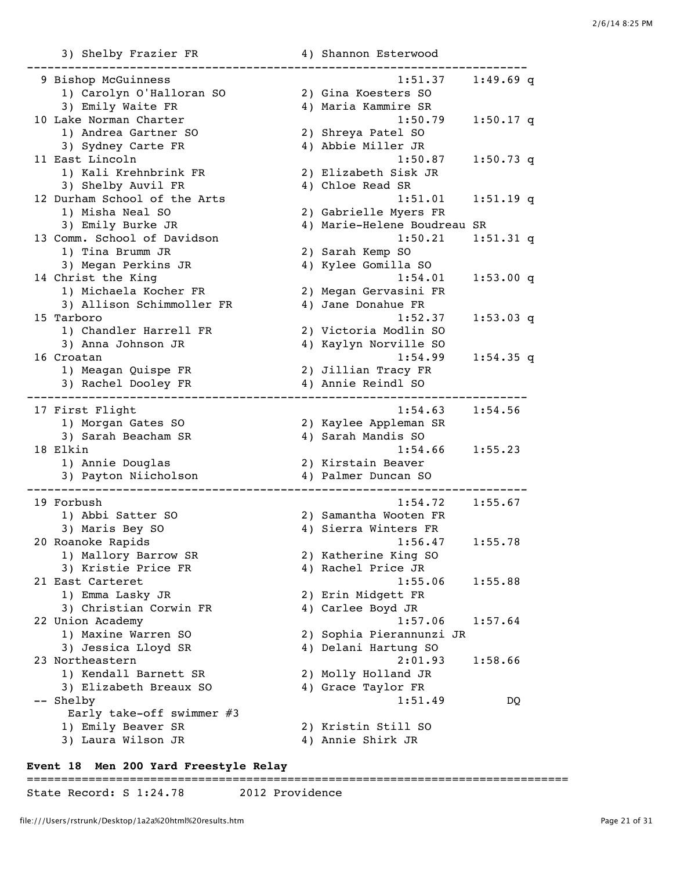3) Shelby Frazier FR 4) Shannon Esterwood

| 9 Bishop McGuinness          | 1:51.37                     | $1:49.69$ q |  |
|------------------------------|-----------------------------|-------------|--|
| 1) Carolyn O'Halloran SO     | 2) Gina Koesters SO         |             |  |
| 3) Emily Waite FR            | 4) Maria Kammire SR         |             |  |
| 10 Lake Norman Charter       | 1:50.79                     | $1:50.17$ q |  |
| 1) Andrea Gartner SO         | 2) Shreya Patel SO          |             |  |
| 3) Sydney Carte FR           | 4) Abbie Miller JR          |             |  |
| 11 East Lincoln              | 1:50.87                     | $1:50.73$ q |  |
| 1) Kali Krehnbrink FR        | 2) Elizabeth Sisk JR        |             |  |
| 3) Shelby Auvil FR           | 4) Chloe Read SR            |             |  |
| 12 Durham School of the Arts | 1:51.01                     | $1:51.19$ q |  |
| 1) Misha Neal SO             | 2) Gabrielle Myers FR       |             |  |
| 3) Emily Burke JR            | 4) Marie-Helene Boudreau SR |             |  |
| 13 Comm. School of Davidson  | 1:50.21                     | $1:51.31$ q |  |
| 1) Tina Brumm JR             | 2) Sarah Kemp SO            |             |  |
| 3) Megan Perkins JR          | 4) Kylee Gomilla SO         |             |  |
| 14 Christ the King           | 1:54.01                     | 1:53.00 q   |  |
| 1) Michaela Kocher FR        | 2) Megan Gervasini FR       |             |  |
| 3) Allison Schimmoller FR    | 4) Jane Donahue FR          |             |  |
| 15 Tarboro                   | 1:52.37                     | $1:53.03$ q |  |
| 1) Chandler Harrell FR       | 2) Victoria Modlin SO       |             |  |
| 3) Anna Johnson JR           | 4) Kaylyn Norville SO       |             |  |
| 16 Croatan                   |                             |             |  |
|                              | 1:54.99                     | $1:54.35$ q |  |
| 1) Meagan Quispe FR          | 2) Jillian Tracy FR         |             |  |
| 3) Rachel Dooley FR          | 4) Annie Reindl SO          |             |  |
| 17 First Flight              | 1:54.63                     | 1:54.56     |  |
| 1) Morgan Gates SO           | 2) Kaylee Appleman SR       |             |  |
| 3) Sarah Beacham SR          | 4) Sarah Mandis SO          |             |  |
| 18 Elkin                     | 1:54.66                     | 1:55.23     |  |
| 1) Annie Douglas             | 2) Kirstain Beaver          |             |  |
| 3) Payton Niicholson         | 4) Palmer Duncan SO         |             |  |
|                              |                             |             |  |
| 19 Forbush                   | 1:54.72                     | 1:55.67     |  |
| 1) Abbi Satter SO            | 2) Samantha Wooten FR       |             |  |
| 3) Maris Bey SO              | 4) Sierra Winters FR        |             |  |
| 20 Roanoke Rapids            | 1:56.47                     | 1:55.78     |  |
| 1) Mallory Barrow SR         | 2) Katherine King SO        |             |  |
| 3) Kristie Price FR          | 4) Rachel Price JR          |             |  |
| 21 East Carteret             | 1:55.06                     | 1:55.88     |  |
|                              |                             |             |  |
| 1) Emma Lasky JR             | 2) Erin Midgett FR          |             |  |
| 3) Christian Corwin FR       | 4) Carlee Boyd JR           |             |  |
| 22 Union Academy             | 1:57.06                     | 1:57.64     |  |
| 1) Maxine Warren SO          | 2) Sophia Pierannunzi JR    |             |  |
| 3) Jessica Lloyd SR          | 4) Delani Hartung SO        |             |  |
| 23 Northeastern              | 2:01.93                     | 1:58.66     |  |
| 1) Kendall Barnett SR        | 2) Molly Holland JR         |             |  |
| 3) Elizabeth Breaux SO       | 4) Grace Taylor FR          |             |  |
| -- Shelby                    | 1:51.49                     | DQ.         |  |
| Early take-off swimmer #3    |                             |             |  |
| 1) Emily Beaver SR           | 2) Kristin Still SO         |             |  |
| 3) Laura Wilson JR           | 4) Annie Shirk JR           |             |  |
|                              |                             |             |  |

## **Event 18 Men 200 Yard Freestyle Relay**

# ===============================================================================

State Record: S 1:24.78 2012 Providence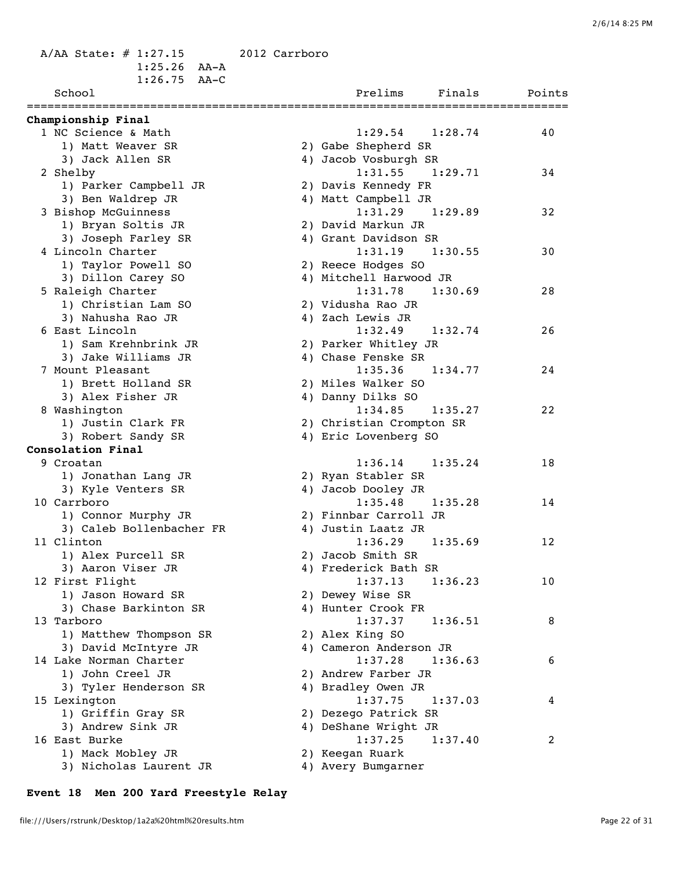A/AA State: # 1:27.15 2012 Carrboro 1:25.26 AA-A 1:26.75 AA-C

| School                   | Prelims<br>Finals        | Points |
|--------------------------|--------------------------|--------|
| Championship Final       |                          |        |
| 1 NC Science & Math      | $1:29.54$ $1:28.74$      | 40     |
| 1) Matt Weaver SR        | 2) Gabe Shepherd SR      |        |
| 3) Jack Allen SR         | 4) Jacob Vosburgh SR     |        |
| 2 Shelby                 | $1:31.55$ $1:29.71$      | 34     |
| 1) Parker Campbell JR    | 2) Davis Kennedy FR      |        |
| 3) Ben Waldrep JR        | 4) Matt Campbell JR      |        |
| 3 Bishop McGuinness      | $1:31.29$ $1:29.89$      | 32     |
| 1) Bryan Soltis JR       | 2) David Markun JR       |        |
| 3) Joseph Farley SR      | 4) Grant Davidson SR     |        |
| 4 Lincoln Charter        | 1:31.19<br>1:30.55       | 30     |
| 1) Taylor Powell SO      | 2) Reece Hodges SO       |        |
| 3) Dillon Carey SO       | 4) Mitchell Harwood JR   |        |
| 5 Raleigh Charter        | 1:31.78<br>1:30.69       | 28     |
| 1) Christian Lam SO      | 2) Vidusha Rao JR        |        |
| 3) Nahusha Rao JR        | 4) Zach Lewis JR         |        |
| 6 East Lincoln           | $1:32.49$ $1:32.74$      | 26     |
| 1) Sam Krehnbrink JR     | 2) Parker Whitley JR     |        |
| 3) Jake Williams JR      | 4) Chase Fenske SR       |        |
| 7 Mount Pleasant         | $1:35.36$ $1:34.77$      | 24     |
| 1) Brett Holland SR      | 2) Miles Walker SO       |        |
| 3) Alex Fisher JR        | 4) Danny Dilks SO        |        |
| 8 Washington             | $1:34.85$ $1:35.27$      | 22     |
| 1) Justin Clark FR       | 2) Christian Crompton SR |        |
| 3) Robert Sandy SR       | 4) Eric Lovenberg SO     |        |
| Consolation Final        |                          |        |
| 9 Croatan                | $1:36.14$ $1:35.24$      | 18     |
| 1) Jonathan Lang JR      | 2) Ryan Stabler SR       |        |
| 3) Kyle Venters SR       | 4) Jacob Dooley JR       |        |
| 10 Carrboro              | $1:35.48$ $1:35.28$      | 14     |
| 1) Connor Murphy JR      | 2) Finnbar Carroll JR    |        |
| 3) Caleb Bollenbacher FR | 4) Justin Laatz JR       |        |
| 11 Clinton               | 1:36.29<br>1:35.69       | 12     |
| 1) Alex Purcell SR       | 2) Jacob Smith SR        |        |
| 3) Aaron Viser JR        | 4) Frederick Bath SR     |        |
| 12 First Flight          | $1:37.13$ $1:36.23$      | $10$   |
| 1) Jason Howard SR       | 2) Dewey Wise SR         |        |
| 3) Chase Barkinton SR    | 4) Hunter Crook FR       |        |
| 13 Tarboro               | 1:37.37<br>1:36.51       | 8      |
| 1) Matthew Thompson SR   | 2) Alex King SO          |        |
| 3) David McIntyre JR     | 4) Cameron Anderson JR   |        |
| 14 Lake Norman Charter   | 1:37.28<br>1:36.63       | 6      |
| 1) John Creel JR         | 2) Andrew Farber JR      |        |
| 3) Tyler Henderson SR    | 4) Bradley Owen JR       |        |
| 15 Lexington             | 1:37.75<br>1:37.03       | 4      |
| 1) Griffin Gray SR       | 2) Dezego Patrick SR     |        |
| 3) Andrew Sink JR        | 4) DeShane Wright JR     |        |
| 16 East Burke            | 1:37.25<br>1:37.40       | 2      |
| 1) Mack Mobley JR        | 2) Keegan Ruark          |        |
| 3) Nicholas Laurent JR   | 4) Avery Bumgarner       |        |
|                          |                          |        |

## **Event 18 Men 200 Yard Freestyle Relay**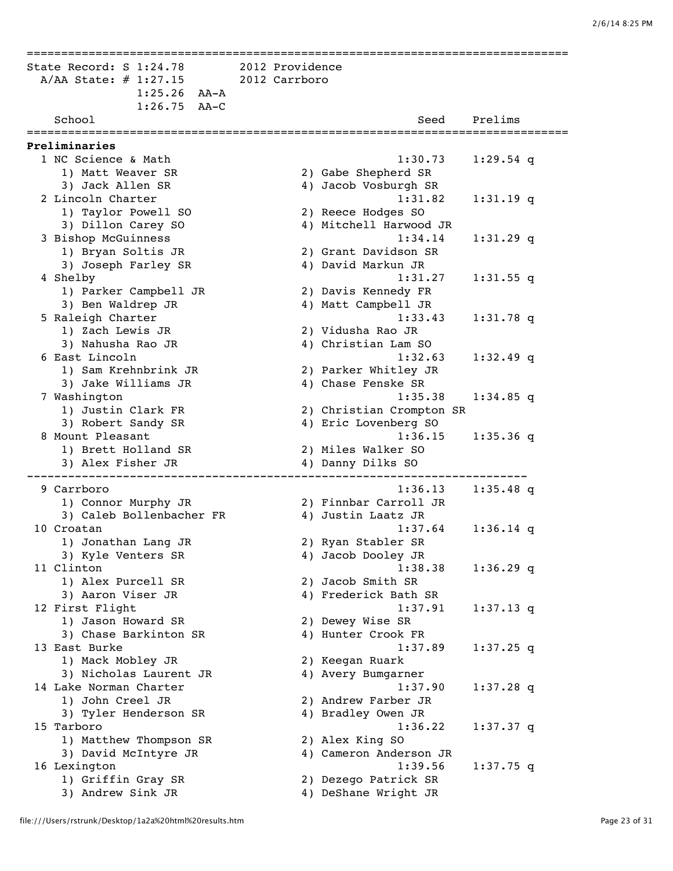=============================================================================== State Record: S 1:24.78 2012 Providence A/AA State: # 1:27.15 2012 Carrboro 1:25.26 AA-A 1:26.75 AA-C School Seed Prelims =============================================================================== **Preliminaries** 1 NC Science & Math 1:30.73 1:29.54 q 1) Matt Weaver SR 2) Gabe Shepherd SR 3) Jack Allen SR 4) Jacob Vosburgh SR 2 Lincoln Charter<br>
1:31.82 1:31.19 q<br>
1) Taylor Powell SO 31 nillon Carev SO 4) Mitchell Harwood JR 1) Taylor Powell SO 2) Reece Hodges SO 3) Dillon Carey SO 4) Mitchell Harwood JR 3 Bishop McGuinness 1:34.14 1:31.29 q 1) Bryan Soltis JR 2) Grant Davidson SR 3) Joseph Farley SR 4) David Markun JR 4 Shelby 1:31.27 1:31.55 q<br>1) Parker Campbell JR 2) Davis Kennedy FR<br>3) Ben Waldrep JR 4) Matt Campbell JR 1) Parker Campbell JR 2) Davis Kennedy FR 3) Ben Waldrep JR 4) Matt Campbell JR 5 Raleigh Charter 1:33.43 1:31.78 q 1) Zach Lewis JR 2) Vidusha Rao JR 3) Nahusha Rao JR 4) Christian Lam SO 6 East Lincoln 1:32.63 1:32.49 q 1) Sam Krehnbrink JR 2) Parker Whitley JR 3) Jake Williams JR 4) Chase Fenske SR 7 Washington 1:35.38 1:34.85 q 1) Justin Clark FR 2) Christian Crompton SR 3) Robert Sandy SR 4) Eric Lovenberg SO 8 Mount Pleasant 1:36.15 1:35.36 q 1) Brett Holland SR 2) Miles Walker SO 3) Alex Fisher JR 4) Danny Dilks SO ------------------------------------------------------------------------- 9 Carrboro 1:36.13 1:35.48 q 1) Connor Murphy JR 2) Finnbar Carroll JR 3) Caleb Bollenbacher FR 4) Justin Laatz JR 10 Croatan 1:37.64 1:36.14 q 1) Jonathan Lang JR 3) Kyle Venters SR 4) Jacob Dooley JR 3) Kyle venters SK (4) Jacob Dooley JK<br>11 Clinton (1:38.38 1:36.29 q 1) Alex Purcell SR 2) Jacob Smith SR 3) Aaron Viser JR 4) Frederick Bath SR 12 First Flight 1:37.91 1:37.13 q 1) Jason Howard SR 2) Dewey Wise SR 3) Chase Barkinton SR 4) Hunter Crook FR 13 East Burke 1:37.89 1:37.25 q 1) Mack Mobley JR 2) Keegan Ruark 3) Nicholas Laurent JR 4) Avery Bumgarner 14 Lake Norman Charter 1:37.90 1:37.28 q 1) John Creel JR 2) Andrew Farber JR 3) Tyler Henderson SR 4) Bradley Owen JR 15 Tarboro 1:36.22 1:37.37 q 1) Matthew Thompson SR 2) Alex King SO 3) David McIntyre JR 4) Cameron Anderson JR 16 Lexington 1:39.56 1:37.75 q<br>1) Griffin Gray SR 2) Dezego Patrick SR<br>3) Andrew Sink JR 3 (4) DeShane Wright JR 1) Griffin Gray SR 2) Dezego Patrick SR 3) Andrew Sink JR 4) DeShane Wright JR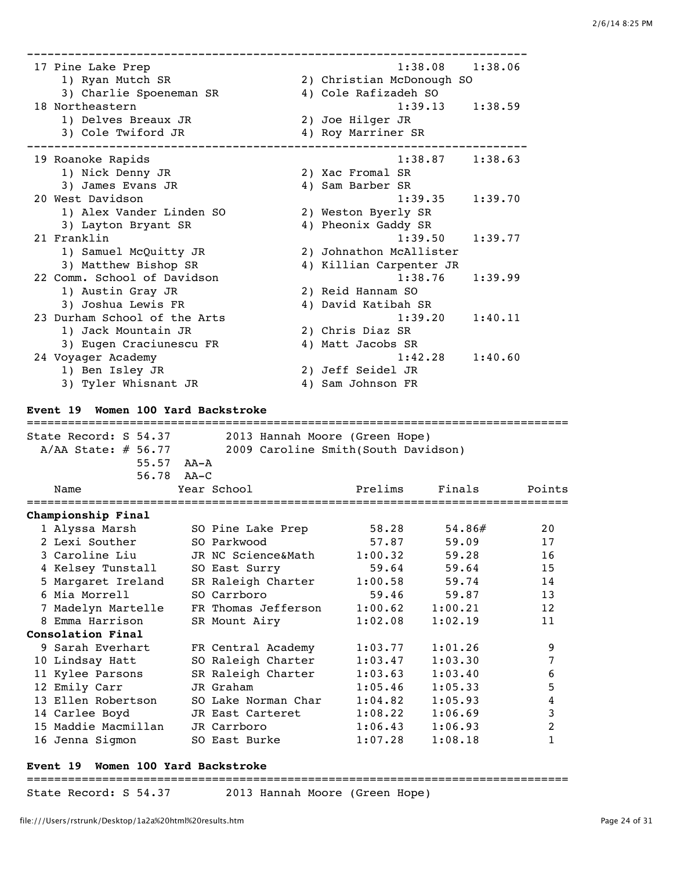| 17 Pine Lake Prep<br>1) Ryan Mutch SR<br>3) Charlie Spoeneman SR | 1:38.08<br>1:38.06<br>2) Christian McDonough SO<br>4) Cole Rafizadeh SO |
|------------------------------------------------------------------|-------------------------------------------------------------------------|
| 18 Northeastern                                                  | 1:39.13<br>1:38.59                                                      |
| 1) Delves Breaux JR                                              | 2) Joe Hilger JR                                                        |
| 3) Cole Twiford JR                                               | 4) Roy Marriner SR                                                      |
|                                                                  |                                                                         |
| 19 Roanoke Rapids                                                | 1:38.87<br>1:38.63                                                      |
| 1) Nick Denny JR                                                 | 2) Xac Fromal SR                                                        |
| 3) James Evans JR                                                | 4) Sam Barber SR                                                        |
| 20 West Davidson                                                 | 1:39.35<br>1:39.70                                                      |
| 1) Alex Vander Linden SO                                         | 2) Weston Byerly SR                                                     |
| 3) Layton Bryant SR                                              | 4) Pheonix Gaddy SR                                                     |
| 21 Franklin                                                      | 1:39.50<br>1:39.77                                                      |
| 1) Samuel McQuitty JR                                            | 2) Johnathon McAllister                                                 |
| 3) Matthew Bishop SR                                             | 4) Killian Carpenter JR                                                 |
| 22 Comm. School of Davidson                                      | 1:38.76<br>1:39.99                                                      |
| 1) Austin Gray JR                                                | 2) Reid Hannam SO                                                       |
| 3) Joshua Lewis FR                                               | 4) David Katibah SR                                                     |
| 23 Durham School of the Arts                                     | 1:39.20<br>1:40.11                                                      |
| 1) Jack Mountain JR                                              | 2) Chris Diaz SR                                                        |
| 3) Eugen Craciunescu FR                                          | 4) Matt Jacobs SR                                                       |
| 24 Voyager Academy                                               | 1:42.28<br>1:40.60                                                      |
| 1) Ben Isley JR                                                  | 2) Jeff Seidel JR                                                       |
| 3) Tyler Whisnant JR                                             | 4) Sam Johnson FR                                                       |
|                                                                  |                                                                         |

#### **Event 19 Women 100 Yard Backstroke**

| State Record: S 54.37 | 2013 Hannah Moore (Green Hope)      |         |         |        |
|-----------------------|-------------------------------------|---------|---------|--------|
| $A/AA$ State: # 56.77 | 2009 Caroline Smith(South Davidson) |         |         |        |
| $55.57$ $AA-A$        |                                     |         |         |        |
| $56.78$ $AA-C$        |                                     |         |         |        |
| Name                  | Year School                         | Prelims | Finals  | Points |
| Championship Final    |                                     |         |         |        |
| 1 Alyssa Marsh        | SO Pine Lake Prep                   | 58.28   | 54.86#  | 2.0    |
| 2 Lexi Souther        | SO Parkwood                         | 57.87   | 59.09   | 17     |
| 3 Caroline Liu        | JR NC Science&Math                  | 1:00.32 | 59.28   | 16     |
| 4 Kelsey Tunstall     | SO East Surry                       | 59.64   | 59.64   | 15     |
| 5 Margaret Ireland    | SR Raleigh Charter                  | 1:00.58 | 59.74   | 14     |
| 6 Mia Morrell         | SO Carrboro                         | 59.46   | 59.87   | 13     |
| 7 Madelyn Martelle    | FR Thomas Jefferson                 | 1:00.62 | 1:00.21 | 12     |
| 8 Emma Harrison       | SR Mount Airy                       | 1:02.08 | 1:02.19 | 11     |
| Consolation Final     |                                     |         |         |        |
| 9 Sarah Everhart      | FR Central Academy                  | 1:03.77 | 1:01.26 | 9      |
| 10 Lindsay Hatt       | SO Raleigh Charter                  | 1:03.47 | 1:03.30 | 7      |
| 11 Kylee Parsons      | SR Raleigh Charter                  | 1:03.63 | 1:03.40 | 6      |
| 12 Emily Carr         | JR Graham                           | 1:05.46 | 1:05.33 | 5      |
| 13 Ellen Robertson    | SO Lake Norman Char                 | 1:04.82 | 1:05.93 | 4      |
| 14 Carlee Boyd        | JR East Carteret                    | 1:08.22 | 1:06.69 | 3      |
| 15 Maddie Macmillan   | JR Carrboro                         | 1:06.43 | 1:06.93 | 2      |
| 16 Jenna Sigmon       | SO East Burke                       | 1:07.28 | 1:08.18 | 1      |
|                       |                                     |         |         |        |

### **Event 19 Women 100 Yard Backstroke**

===============================================================================

State Record: S 54.37 2013 Hannah Moore (Green Hope)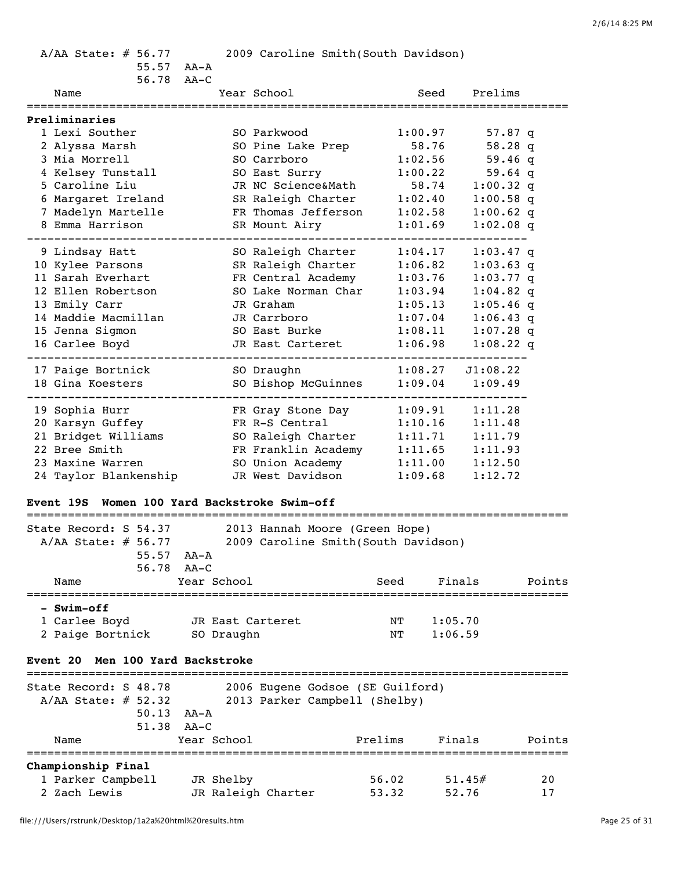A/AA State: # 56.77 2009 Caroline Smith(South Davidson)

56.78 AA-C

| Name                                                                        |             | Year School                         |         | Seed    | Prelims     |        |
|-----------------------------------------------------------------------------|-------------|-------------------------------------|---------|---------|-------------|--------|
| <b>Preliminaries</b>                                                        |             |                                     |         |         |             |        |
| 1 Lexi Souther                                                              |             | SO Parkwood                         | 1:00.97 |         | 57.87 q     |        |
| 2 Alyssa Marsh                                                              |             | SO Pine Lake Prep                   | 58.76   |         | 58.28 q     |        |
| 3 Mia Morrell                                                               |             | SO Carrboro                         | 1:02.56 |         | 59.46q      |        |
| 4 Kelsey Tunstall                                                           |             | SO East Surry                       | 1:00.22 |         | 59.64 $q$   |        |
| 5 Caroline Liu                                                              |             | JR NC Science&Math                  |         | 58.74   | $1:00.32$ q |        |
| 6 Margaret Ireland                                                          |             | SR Raleigh Charter                  | 1:02.40 |         | $1:00.58$ q |        |
| 7 Madelyn Martelle                                                          |             | FR Thomas Jefferson                 | 1:02.58 |         | $1:00.62$ q |        |
| 8 Emma Harrison                                                             |             | SR Mount Airy                       | 1:01.69 |         | $1:02.08$ q |        |
| 9 Lindsay Hatt                                                              |             | SO Raleigh Charter                  | 1:04.17 |         | $1:03.47$ q |        |
| 10 Kylee Parsons                                                            |             | SR Raleigh Charter                  | 1:06.82 |         | $1:03.63$ q |        |
| 11 Sarah Everhart                                                           |             | FR Central Academy                  | 1:03.76 |         | $1:03.77$ q |        |
| 12 Ellen Robertson                                                          |             | SO Lake Norman Char                 | 1:03.94 |         | $1:04.82$ q |        |
| 13 Emily Carr                                                               |             | JR Graham                           | 1:05.13 |         | $1:05.46$ q |        |
| 14 Maddie Macmillan                                                         |             | JR Carrboro                         | 1:07.04 |         | $1:06.43$ q |        |
| 15 Jenna Sigmon                                                             |             | SO East Burke                       | 1:08.11 |         | $1:07.28$ q |        |
| 16 Carlee Boyd                                                              |             | JR East Carteret                    | 1:06.98 |         | $1:08.22$ q |        |
| 17 Paige Bortnick                                                           |             | SO Draughn                          | 1:08.27 |         | J1:08.22    |        |
| 18 Gina Koesters                                                            |             | SO Bishop McGuinnes                 | 1:09.04 |         | 1:09.49     |        |
|                                                                             |             |                                     |         |         |             |        |
| 19 Sophia Hurr                                                              |             | FR Gray Stone Day                   | 1:09.91 |         | 1:11.28     |        |
| 20 Karsyn Guffey                                                            |             | FR R-S Central                      | 1:10.16 |         | 1:11.48     |        |
| 21 Bridget Williams                                                         |             | SO Raleigh Charter                  | 1:11.71 |         | 1:11.79     |        |
| 22 Bree Smith                                                               |             | FR Franklin Academy                 |         | 1:11.65 | 1:11.93     |        |
| 23 Maxine Warren                                                            |             | SO Union Academy                    |         | 1:11.00 | 1:12.50     |        |
| 24 Taylor Blankenship                                                       |             | JR West Davidson                    | 1:09.68 |         | 1:12.72     |        |
| <b>Event 19S Women 100 Yard Backstroke Swim-off</b>                         |             |                                     |         |         |             |        |
| State Record: S 54.37                                                       |             | 2013 Hannah Moore (Green Hope)      |         |         |             |        |
| $A/AA$ State: # 56.77                                                       |             | 2009 Caroline Smith(South Davidson) |         |         |             |        |
| 55.57<br>AA-A                                                               |             |                                     |         |         |             |        |
| 56.78<br>$AA-C$                                                             |             |                                     |         |         |             |        |
| Name                                                                        | Year School |                                     | Seed    | Finals  |             | Points |
| - Swim-off                                                                  |             |                                     |         |         |             |        |
| 1 Carlee Boyd                                                               |             | JR East Carteret                    | NT      | 1:05.70 |             |        |
| 2 Paige Bortnick                                                            | SO Draughn  |                                     | NΤ      | 1:06.59 |             |        |
|                                                                             |             |                                     |         |         |             |        |
| Men 100 Yard Backstroke<br><b>Event 20</b><br>============================= |             |                                     |         |         |             |        |
| State Record: S 48.78                                                       |             | 2006 Eugene Godsoe (SE Guilford)    |         |         |             |        |
| $A/AA$ State: # 52.32                                                       |             | 2013 Parker Campbell (Shelby)       |         |         |             |        |
| 50.13 AA-A                                                                  |             |                                     |         |         |             |        |

| 51.38                     | AA-C               |         |        |        |
|---------------------------|--------------------|---------|--------|--------|
| Name                      | Year School        | Prelims | Finals | Points |
| <b>Championship Final</b> |                    |         |        |        |
| 1 Parker Campbell         | JR Shelby          | 56.02   | 51.45# | 20     |
| 2 Zach Lewis              | JR Raleigh Charter | 53.32   | 52.76  |        |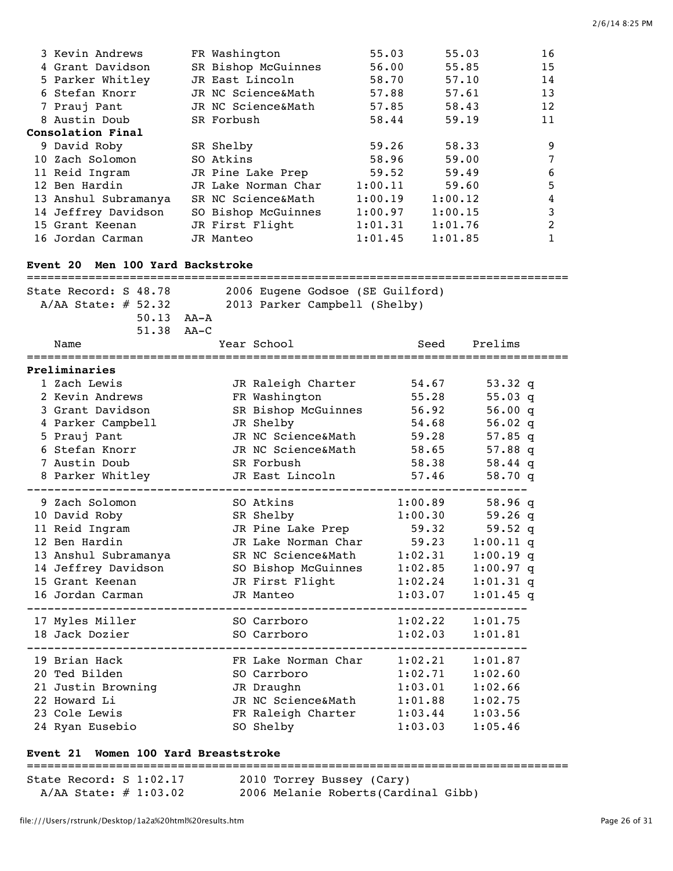| 3 Kevin Andrews<br>4 Grant Davidson<br>5 Parker Whitley<br>6 Stefan Knorr<br>7 Prauj Pant<br>8 Austin Doub<br>Consolation Final<br>9 David Roby<br>10 Zach Solomon | FR Washington<br>JR East Lincoln<br>JR NC Science&Math<br>JR NC Science&Math<br>SR Forbush<br>SR Shelby<br>SO Atkins | SR Bishop McGuinnes                                                                                                                                  | 55.03<br>56.00<br>58.70<br>57.88<br>57.85<br>58.44<br>59.26<br>58.96 | 55.03<br>55.85<br>57.10<br>57.61<br>58.43<br>59.19<br>58.33<br>59.00<br>59.49 |                                                                                                 | 16<br>15<br>14<br>13<br>12<br>11<br>9<br>7 |  |
|--------------------------------------------------------------------------------------------------------------------------------------------------------------------|----------------------------------------------------------------------------------------------------------------------|------------------------------------------------------------------------------------------------------------------------------------------------------|----------------------------------------------------------------------|-------------------------------------------------------------------------------|-------------------------------------------------------------------------------------------------|--------------------------------------------|--|
| 11 Reid Ingram                                                                                                                                                     | JR Pine Lake Prep                                                                                                    |                                                                                                                                                      | 59.52                                                                |                                                                               |                                                                                                 | 6                                          |  |
| 12 Ben Hardin                                                                                                                                                      |                                                                                                                      | JR Lake Norman Char                                                                                                                                  | 1:00.11                                                              | 59.60                                                                         |                                                                                                 | 5                                          |  |
| 13 Anshul Subramanya                                                                                                                                               | SR NC Science&Math                                                                                                   |                                                                                                                                                      | 1:00.19                                                              | 1:00.12                                                                       |                                                                                                 | 4                                          |  |
| 14 Jeffrey Davidson                                                                                                                                                |                                                                                                                      | SO Bishop McGuinnes                                                                                                                                  | 1:00.97                                                              | 1:00.15                                                                       |                                                                                                 | 3                                          |  |
| 15 Grant Keenan                                                                                                                                                    | JR First Flight                                                                                                      |                                                                                                                                                      | 1:01.31                                                              | 1:01.76                                                                       |                                                                                                 | $\overline{c}$                             |  |
| 16 Jordan Carman                                                                                                                                                   | JR Manteo                                                                                                            |                                                                                                                                                      | 1:01.45                                                              | 1:01.85                                                                       |                                                                                                 | $\mathbf{1}$                               |  |
| Event 20 Men 100 Yard Backstroke                                                                                                                                   |                                                                                                                      |                                                                                                                                                      |                                                                      |                                                                               |                                                                                                 |                                            |  |
| State Record: S 48.78<br>$A/AA$ State: # 52.32<br>50.13 AA-A<br>51.38 AA-C<br>Name                                                                                 |                                                                                                                      | 2006 Eugene Godsoe (SE Guilford)<br>2013 Parker Campbell (Shelby)<br>Year School                                                                     |                                                                      | Seed                                                                          | Prelims                                                                                         |                                            |  |
| Preliminaries                                                                                                                                                      |                                                                                                                      |                                                                                                                                                      |                                                                      |                                                                               |                                                                                                 |                                            |  |
| 1 Zach Lewis<br>2 Kevin Andrews<br>3 Grant Davidson<br>4 Parker Campbell<br>5 Prauj Pant<br>6 Stefan Knorr<br>7 Austin Doub<br>8 Parker Whitley                    |                                                                                                                      | JR Raleigh Charter<br>FR Washington<br>SR Bishop McGuinnes<br>JR Shelby<br>JR NC Science&Math<br>JR NC Science&Math<br>SR Forbush<br>JR East Lincoln | 58.38                                                                | 54.67<br>55.28<br>56.92<br>54.68<br>59.28<br>58.65<br>57.46                   | 53.32 $q$<br>$55.03$ q<br>56.00 q<br>$56.02$ q<br>$57.85$ q<br>57.88 $q$<br>58.44 $q$<br>58.70q |                                            |  |
| 9 Zach Solomon                                                                                                                                                     |                                                                                                                      | SO Atkins                                                                                                                                            | 1:00.89                                                              |                                                                               | 58.96 q                                                                                         |                                            |  |
| 10 David Roby                                                                                                                                                      |                                                                                                                      | SR Shelby                                                                                                                                            | 1:00.30                                                              |                                                                               | 59.26 $q$                                                                                       |                                            |  |
| 11 Reid Ingram                                                                                                                                                     |                                                                                                                      | JR Pine Lake Prep                                                                                                                                    | 59.32                                                                |                                                                               | 59.52 q                                                                                         |                                            |  |
| 12 Ben Hardin                                                                                                                                                      |                                                                                                                      | JR Lake Norman Char                                                                                                                                  | 59.23                                                                |                                                                               | $1:00.11$ q                                                                                     |                                            |  |
| 13 Anshul Subramanya                                                                                                                                               |                                                                                                                      | SR NC Science&Math 1:02.31                                                                                                                           |                                                                      |                                                                               | $1:00.19$ q                                                                                     |                                            |  |
| 14 Jeffrey Davidson                                                                                                                                                |                                                                                                                      | SO Bishop McGuinnes 1:02.85                                                                                                                          |                                                                      |                                                                               | $1:00.97$ q                                                                                     |                                            |  |
| 15 Grant Keenan                                                                                                                                                    |                                                                                                                      | JR First Flight 1:02.24                                                                                                                              |                                                                      |                                                                               | $1:01.31$ q                                                                                     |                                            |  |
| 16 Jordan Carman                                                                                                                                                   |                                                                                                                      | JR Manteo                                                                                                                                            |                                                                      | 1:03.07                                                                       | $1:01.45$ q                                                                                     |                                            |  |
| 17 Myles Miller<br>18 Jack Dozier                                                                                                                                  |                                                                                                                      | SO Carrboro<br>SO Carrboro                                                                                                                           | 1:02.22<br>1:02.03                                                   |                                                                               | 1:01.75<br>1:01.81                                                                              |                                            |  |
|                                                                                                                                                                    |                                                                                                                      |                                                                                                                                                      |                                                                      |                                                                               |                                                                                                 |                                            |  |
| 19 Brian Hack                                                                                                                                                      |                                                                                                                      | FR Lake Norman Char 1:02.21                                                                                                                          |                                                                      |                                                                               | 1:01.87                                                                                         |                                            |  |
| 20 Ted Bilden                                                                                                                                                      |                                                                                                                      | SO Carrboro                                                                                                                                          | 1:02.71                                                              |                                                                               | 1:02.60                                                                                         |                                            |  |
| 21 Justin Browning                                                                                                                                                 |                                                                                                                      | JR Draughn                                                                                                                                           | 1:03.01                                                              |                                                                               | 1:02.66                                                                                         |                                            |  |
| 22 Howard Li                                                                                                                                                       |                                                                                                                      | JR NC Science&Math 1:01.88                                                                                                                           |                                                                      |                                                                               | 1:02.75                                                                                         |                                            |  |
| 23 Cole Lewis                                                                                                                                                      |                                                                                                                      | FR Raleigh Charter                                                                                                                                   |                                                                      | 1:03.44                                                                       | 1:03.56                                                                                         |                                            |  |
| 24 Ryan Eusebio                                                                                                                                                    |                                                                                                                      | SO Shelby                                                                                                                                            |                                                                      | 1:03.03                                                                       | 1:05.46                                                                                         |                                            |  |

## **Event 21 Women 100 Yard Breaststroke**

=============================================================================== State Record: S 1:02.17 2010 Torrey Bussey (Cary)

A/AA State: # 1:03.02 2006 Melanie Roberts(Cardinal Gibb)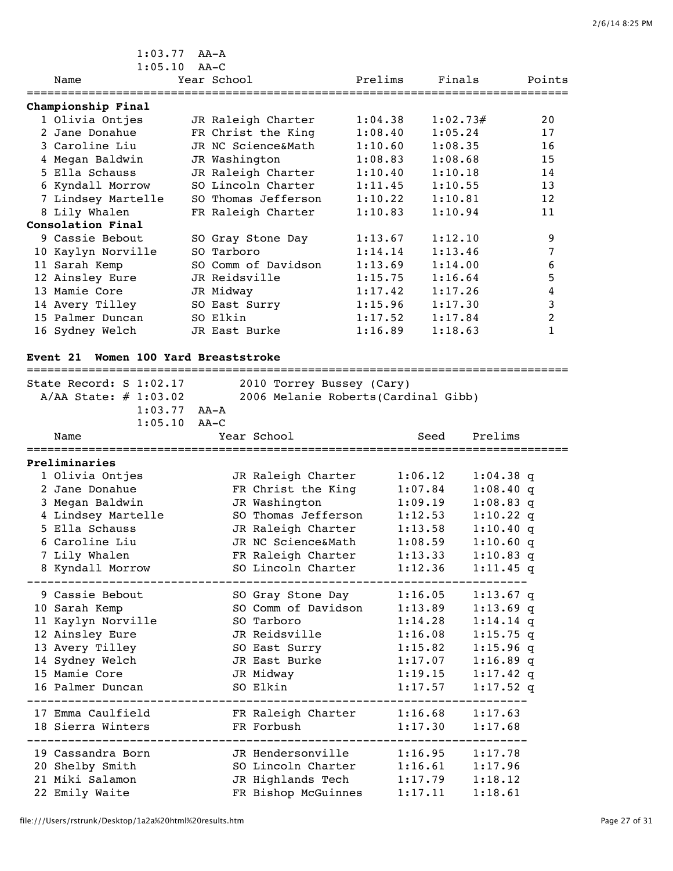| $1:05.10$ AA-C<br>Prelims<br>Finals<br>Year School<br>Points<br>Name<br>Championship Final<br>1 Olivia Ontjes<br>JR Raleigh Charter<br>1:04.38<br>1:02.73#<br>2.0<br>2 Jane Donahue<br>FR Christ the King<br>1:05.24<br>1:08.40<br>17<br>JR NC Science&Math<br>3 Caroline Liu<br>1:10.60<br>1:08.35<br>16<br>4 Megan Baldwin<br>1:08.83<br>1:08.68<br>15<br>JR Washington<br>JR Raleigh Charter<br>5 Ella Schauss<br>1:10.40<br>1:10.18<br>14 |  |
|-----------------------------------------------------------------------------------------------------------------------------------------------------------------------------------------------------------------------------------------------------------------------------------------------------------------------------------------------------------------------------------------------------------------------------------------------|--|
|                                                                                                                                                                                                                                                                                                                                                                                                                                               |  |
|                                                                                                                                                                                                                                                                                                                                                                                                                                               |  |
|                                                                                                                                                                                                                                                                                                                                                                                                                                               |  |
|                                                                                                                                                                                                                                                                                                                                                                                                                                               |  |
|                                                                                                                                                                                                                                                                                                                                                                                                                                               |  |
|                                                                                                                                                                                                                                                                                                                                                                                                                                               |  |
|                                                                                                                                                                                                                                                                                                                                                                                                                                               |  |
|                                                                                                                                                                                                                                                                                                                                                                                                                                               |  |
| SO Lincoln Charter<br>6 Kyndall Morrow<br>1:11.45<br>1:10.55<br>13                                                                                                                                                                                                                                                                                                                                                                            |  |
| 7 Lindsey Martelle<br>SO Thomas Jefferson<br>1:10.22<br>1:10.81<br>12                                                                                                                                                                                                                                                                                                                                                                         |  |
| 8 Lily Whalen<br>FR Raleigh Charter<br>1:10.83<br>1:10.94<br>11                                                                                                                                                                                                                                                                                                                                                                               |  |
| Consolation Final                                                                                                                                                                                                                                                                                                                                                                                                                             |  |
| 9<br>9 Cassie Bebout<br>1:13.67<br>1:12.10<br>SO Gray Stone Day                                                                                                                                                                                                                                                                                                                                                                               |  |
| 7<br>1:14.14<br>1:13.46<br>10 Kaylyn Norville<br>SO Tarboro                                                                                                                                                                                                                                                                                                                                                                                   |  |
| 6<br>11 Sarah Kemp<br>SO Comm of Davidson<br>1:13.69<br>1:14.00                                                                                                                                                                                                                                                                                                                                                                               |  |
| 5<br>12 Ainsley Eure<br>JR Reidsville<br>1:15.75<br>1:16.64                                                                                                                                                                                                                                                                                                                                                                                   |  |
| 13 Mamie Core<br>4<br>JR Midway<br>1:17.42<br>1:17.26                                                                                                                                                                                                                                                                                                                                                                                         |  |
| 3<br>1:15.96<br>1:17.30<br>14 Avery Tilley<br>SO East Surry                                                                                                                                                                                                                                                                                                                                                                                   |  |
| SO Elkin<br>2<br>15 Palmer Duncan<br>1:17.84<br>1:17.52                                                                                                                                                                                                                                                                                                                                                                                       |  |
| 1<br>16 Sydney Welch<br>1:16.89<br>1:18.63<br>JR East Burke                                                                                                                                                                                                                                                                                                                                                                                   |  |

## **Event 21 Women 100 Yard Breaststroke**

| ========================                                                                  |                                                                   | ===========<br>====================== |  |
|-------------------------------------------------------------------------------------------|-------------------------------------------------------------------|---------------------------------------|--|
| State Record: S 1:02.17<br>$A/AA$ State: $\#$ 1:03.02<br>$1:03.77$ AA-A<br>$1:05.10$ AA-C | 2010 Torrey Bussey (Cary)<br>2006 Melanie Roberts (Cardinal Gibb) |                                       |  |
| Name                                                                                      | Year School                                                       | Prelims<br>Seed                       |  |
| Preliminaries                                                                             |                                                                   |                                       |  |
| 1 Olivia Ontjes                                                                           | JR Raleigh Charter                                                | 1:06.12<br>$1:04.38$ q                |  |
| 2 Jane Donahue                                                                            | FR Christ the King                                                | 1:07.84<br>$1:08.40$ q                |  |
| 3 Megan Baldwin                                                                           | JR Washington                                                     | $1:08.83$ q<br>1:09.19                |  |
| 4 Lindsey Martelle                                                                        | SO Thomas Jefferson                                               | 1:12.53<br>$1:10.22$ q                |  |
| 5 Ella Schauss                                                                            | JR Raleigh Charter                                                | 1:13.58<br>$1:10.40$ q                |  |
| 6 Caroline Liu                                                                            | JR NC Science&Math                                                | 1:08.59<br>$1:10.60$ q                |  |
| 7 Lily Whalen                                                                             | FR Raleigh Charter                                                | $1:10.83$ q<br>1:13.33                |  |
| 8 Kyndall Morrow                                                                          | SO Lincoln Charter                                                | 1:12.36<br>$1:11.45$ q                |  |
| 9 Cassie Bebout                                                                           | SO Gray Stone Day                                                 | 1:16.05<br>$1:13.67$ q                |  |
| 10 Sarah Kemp                                                                             | SO Comm of Davidson                                               | $1:13.69$ q<br>1:13.89                |  |
| 11 Kaylyn Norville                                                                        | SO Tarboro                                                        | $1:14.14$ q<br>1:14.28                |  |
| 12 Ainsley Eure                                                                           | JR Reidsville                                                     | 1:16.08<br>$1:15.75$ q                |  |
| 13 Avery Tilley                                                                           | SO East Surry                                                     | $1:15.96$ q<br>1:15.82                |  |
| 14 Sydney Welch                                                                           | JR East Burke                                                     | 1:17.07<br>$1:16.89$ q                |  |
| 15 Mamie Core                                                                             | JR Midway                                                         | 1:19.15<br>$1:17.42$ q                |  |
| 16 Palmer Duncan                                                                          | SO Elkin                                                          | 1:17.57<br>$1:17.52$ q                |  |
| 17 Emma Caulfield                                                                         | FR Raleigh Charter 1:16.68                                        | 1:17.63                               |  |
| 18 Sierra Winters                                                                         | FR Forbush                                                        | 1:17.30<br>1:17.68                    |  |
| 19 Cassandra Born                                                                         | JR Hendersonville 1:16.95 1:17.78                                 |                                       |  |
| 20 Shelby Smith                                                                           | SO Lincoln Charter                                                | 1:16.61<br>1:17.96                    |  |
| 21 Miki Salamon                                                                           | JR Highlands Tech 1:17.79                                         | 1:18.12                               |  |
| 22 Emily Waite                                                                            | FR Bishop McGuinnes                                               | 1:17.11<br>1:18.61                    |  |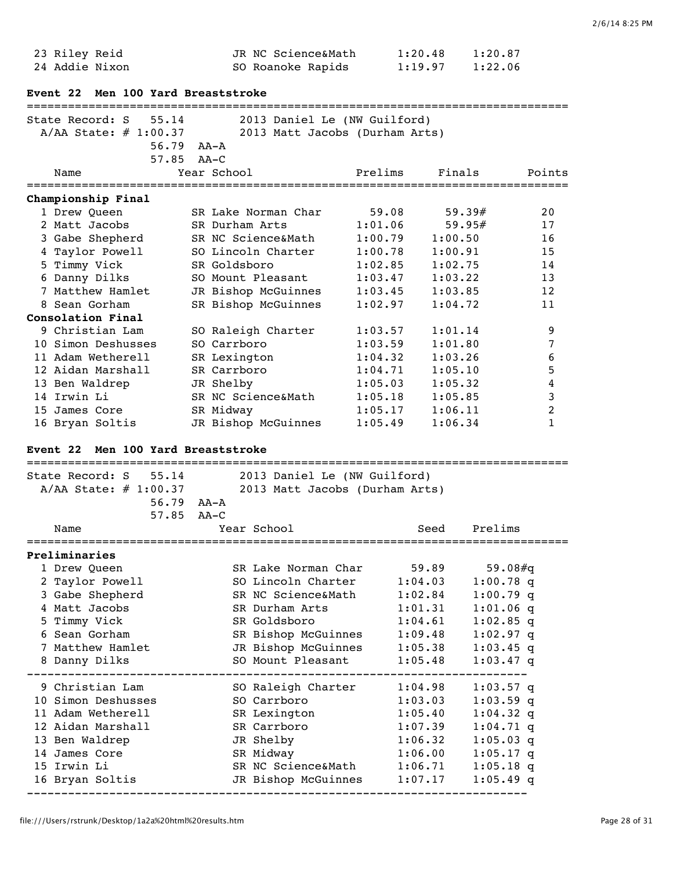| 23 Riley Reid  | JR NC Science&Math | 1:20.48 | 1:20.87 |
|----------------|--------------------|---------|---------|
| 24 Addie Nixon | SO Roanoke Rapids  | 1:19.97 | 1:22.06 |

|  |  |  |  | Event 22 Men 100 Yard Breaststroke |
|--|--|--|--|------------------------------------|
|--|--|--|--|------------------------------------|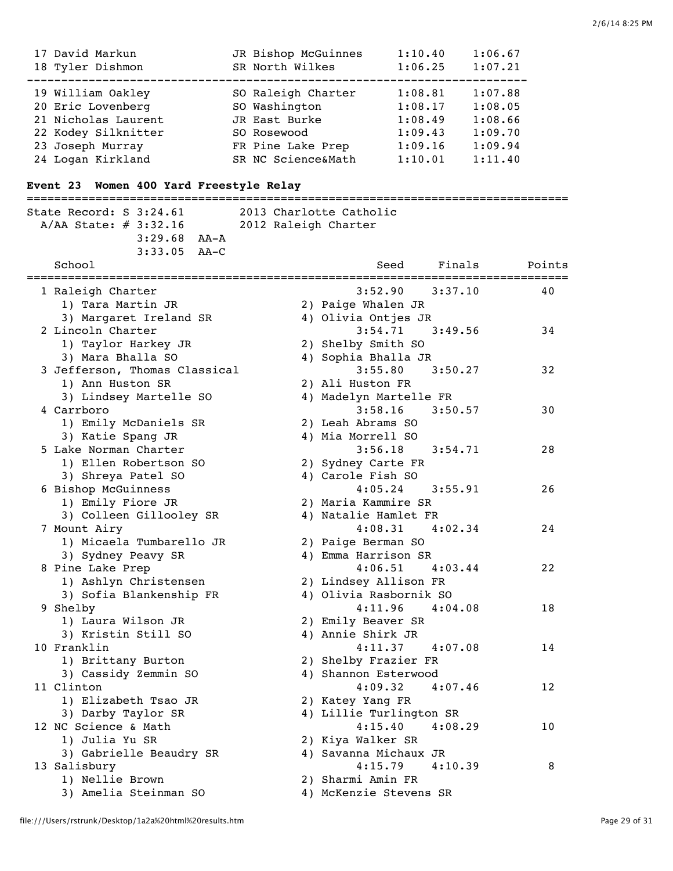| 17 David Markun     | JR Bishop McGuinnes | 1:10.40 | 1:06.67 |
|---------------------|---------------------|---------|---------|
| 18 Tyler Dishmon    | SR North Wilkes     | 1:06.25 | 1:07.21 |
|                     |                     |         |         |
| 19 William Oakley   | SO Raleigh Charter  | 1:08.81 | 1:07.88 |
| 20 Eric Lovenberg   | SO Washington       | 1:08.17 | 1:08.05 |
| 21 Nicholas Laurent | JR East Burke       | 1:08.49 | 1:08.66 |
| 22 Kodey Silknitter | SO Rosewood         | 1:09.43 | 1:09.70 |
| 23 Joseph Murray    | FR Pine Lake Prep   | 1:09.16 | 1:09.94 |
| 24 Logan Kirkland   | SR NC Science&Math  | 1:10.01 | 1:11.40 |

# **Event 23 Women 400 Yard Freestyle Relay**

| =====================================<br>State Record: S 3:24.61<br>$A/AA$ State: $\#$ 3:32.16 2012 Raleigh Charter<br>$3:29.68$ AA-A<br>$3:33.05$ AA-C<br>School | 2013 Charlotte Catholic            | ----------------------------------<br>Seed Finals Points |                 |
|-------------------------------------------------------------------------------------------------------------------------------------------------------------------|------------------------------------|----------------------------------------------------------|-----------------|
|                                                                                                                                                                   |                                    |                                                          | =============== |
| 1 Raleigh Charter                                                                                                                                                 | $3:52.90$ $3:37.10$                |                                                          | 40              |
| 1) Tara Martin JR                                                                                                                                                 | 2) Paige Whalen JR                 |                                                          |                 |
| 3) Margaret Ireland SR                                                                                                                                            | 4) Olivia Ontjes JR                |                                                          |                 |
| 2 Lincoln Charter                                                                                                                                                 | $3:54.71$ $3:49.56$                |                                                          | 34              |
| 1) Taylor Harkey JR                                                                                                                                               | 2) Shelby Smith SO                 |                                                          |                 |
| 3) Mara Bhalla SO                                                                                                                                                 | 4) Sophia Bhalla JR                |                                                          |                 |
| 3 Jefferson, Thomas Classical                                                                                                                                     | $3:55.80$ $3:50.27$                |                                                          | 32              |
| 1) Ann Huston SR                                                                                                                                                  | 2) Ali Huston FR                   |                                                          |                 |
| 3) Lindsey Martelle SO                                                                                                                                            | 4) Madelyn Martelle FR             |                                                          |                 |
| 4 Carrboro                                                                                                                                                        | $3:58.16$ $3:50.57$                |                                                          | 30              |
| 1) Emily McDaniels SR                                                                                                                                             | 2) Leah Abrams SO                  |                                                          |                 |
| 3) Katie Spang JR                                                                                                                                                 | 4) Mia Morrell SO                  |                                                          |                 |
| 5 Lake Norman Charter                                                                                                                                             | $3:56.18$ $3:54.71$                |                                                          | 28              |
| 1) Ellen Robertson SO                                                                                                                                             | 2) Sydney Carte FR                 |                                                          |                 |
| 3) Shreya Patel SO                                                                                                                                                | 4) Carole Fish SO                  |                                                          |                 |
| 6 Bishop McGuinness                                                                                                                                               | $4:05.24$ 3:55.91                  |                                                          | 26              |
| 1) Emily Fiore JR                                                                                                                                                 | 2) Maria Kammire SR                |                                                          |                 |
| 3) Colleen Gillooley SR                                                                                                                                           | 4) Natalie Hamlet FR               |                                                          |                 |
| 7 Mount Airy                                                                                                                                                      | $4:08.31$ $4:02.34$                |                                                          | 24              |
| 1) Micaela Tumbarello JR                                                                                                                                          | 2) Paige Berman SO                 |                                                          |                 |
| 3) Sydney Peavy SR                                                                                                                                                | 4) Emma Harrison SR                |                                                          |                 |
| 8 Pine Lake Prep                                                                                                                                                  | $4:06.51$ $4:03.44$                |                                                          | 22              |
| 1) Ashlyn Christensen                                                                                                                                             | 2) Lindsey Allison FR              |                                                          |                 |
| 3) Sofia Blankenship FR                                                                                                                                           | 4) Olivia Rasbornik SO             |                                                          |                 |
| 9 Shelby                                                                                                                                                          | $4:11.96$ $4:04.08$                |                                                          | 18              |
| 1) Laura Wilson JR                                                                                                                                                | 2) Emily Beaver SR                 |                                                          |                 |
| 3) Kristin Still SO                                                                                                                                               | 4) Annie Shirk JR                  |                                                          |                 |
| 10 Franklin                                                                                                                                                       | $4:11.37$ $4:07.08$                |                                                          | 14              |
| 1) Brittany Burton                                                                                                                                                | 2) Shelby Frazier FR               |                                                          |                 |
| 3) Cassidy Zemmin SO                                                                                                                                              | 4) Shannon Esterwood               |                                                          |                 |
| 11 Clinton                                                                                                                                                        | $4:09.32$ $4:07.46$                |                                                          | $12\,$          |
| 1) Elizabeth Tsao JR                                                                                                                                              | 2) Katey Yang FR                   |                                                          |                 |
| 3) Darby Taylor SR                                                                                                                                                | 4) Lillie Turlington SR<br>4:15.40 |                                                          |                 |
| 12 NC Science & Math                                                                                                                                              |                                    | 4:08.29                                                  | 10              |
| 1) Julia Yu SR                                                                                                                                                    | 2) Kiya Walker SR                  |                                                          |                 |
| 3) Gabrielle Beaudry SR                                                                                                                                           | 4) Savanna Michaux JR              | 4:10.39                                                  |                 |
| 13 Salisbury                                                                                                                                                      | 4:15.79<br>2) Sharmi Amin FR       |                                                          | 8               |
| 1) Nellie Brown<br>3) Amelia Steinman SO                                                                                                                          |                                    |                                                          |                 |
|                                                                                                                                                                   | 4) McKenzie Stevens SR             |                                                          |                 |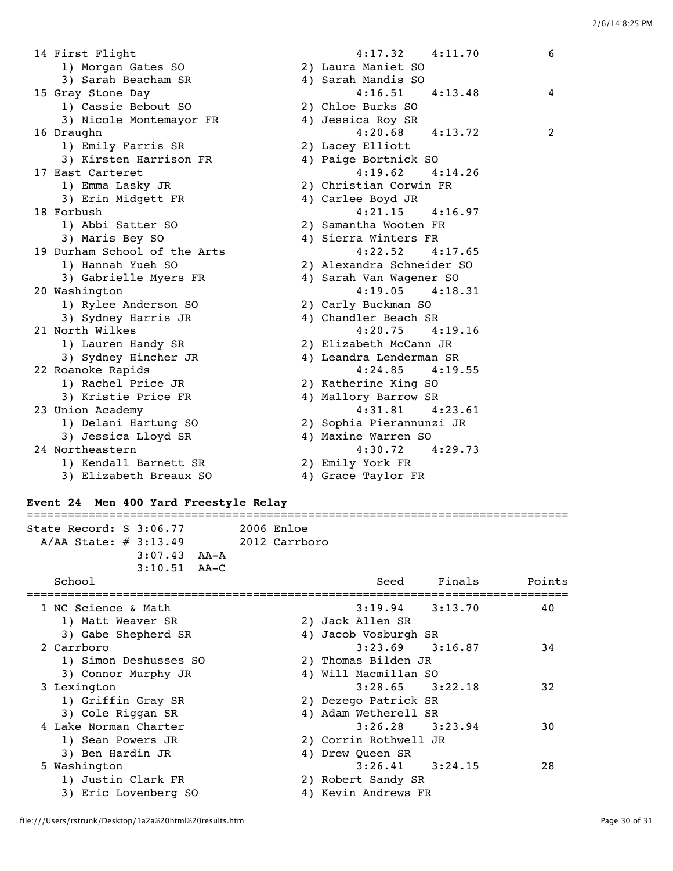| 14 First Flight              | $4:17.32$ $4:11.70$       | 6 |
|------------------------------|---------------------------|---|
| 1) Morgan Gates SO           | 2) Laura Maniet SO        |   |
| 3) Sarah Beacham SR          | 4) Sarah Mandis SO        |   |
| 15 Gray Stone Day            | $4:16.51$ $4:13.48$       | 4 |
| 1) Cassie Bebout SO          | 2) Chloe Burks SO         |   |
| 3) Nicole Montemayor FR      | 4) Jessica Roy SR         |   |
| 16 Draughn                   | $4:20.68$ $4:13.72$       | 2 |
| 1) Emily Farris SR           | 2) Lacey Elliott          |   |
| 3) Kirsten Harrison FR       | 4) Paige Bortnick SO      |   |
| 17 East Carteret             | 4:19.62<br>4:14.26        |   |
| 1) Emma Lasky JR             | 2) Christian Corwin FR    |   |
| 3) Erin Midgett FR           | 4) Carlee Boyd JR         |   |
| 18 Forbush                   | $4:21.15$ $4:16.97$       |   |
| 1) Abbi Satter SO            | 2) Samantha Wooten FR     |   |
| 3) Maris Bey SO              | 4) Sierra Winters FR      |   |
| 19 Durham School of the Arts | 4:22.52<br>4:17.65        |   |
| 1) Hannah Yueh SO            | 2) Alexandra Schneider SO |   |
| 3) Gabrielle Myers FR        | 4) Sarah Van Wagener SO   |   |
| 20 Washington                | $4:19.05$ $4:18.31$       |   |
| 1) Rylee Anderson SO         | 2) Carly Buckman SO       |   |
| 3) Sydney Harris JR          | 4) Chandler Beach SR      |   |
| 21 North Wilkes              | 4:20.75<br>4:19.16        |   |
| 1) Lauren Handy SR           | 2) Elizabeth McCann JR    |   |
| 3) Sydney Hincher JR         | 4) Leandra Lenderman SR   |   |
| 22 Roanoke Rapids            | $4:24.85$ $4:19.55$       |   |
| 1) Rachel Price JR           | 2) Katherine King SO      |   |
| 3) Kristie Price FR          | 4) Mallory Barrow SR      |   |
| 23 Union Academy             | 4:31.81<br>4:23.61        |   |
| 1) Delani Hartung SO         | 2) Sophia Pierannunzi JR  |   |
| 3) Jessica Lloyd SR          | 4) Maxine Warren SO       |   |
| 24 Northeastern              | 4:30.72<br>4:29.73        |   |
| 1) Kendall Barnett SR        | 2) Emily York FR          |   |
| 3) Elizabeth Breaux SO       | 4) Grace Taylor FR        |   |

## **Event 24 Men 400 Yard Freestyle Relay**

=============================================================================== State Record: S 3:06.77 2006 Enloe A/AA State: # 3:13.49 2012 Carrboro 3:07.43 AA-A 3:10.51 AA-C School School Seed Finals Points =============================================================================== 1 NC Science & Math 3:19.94 3:13.70 40 1) Matt Weaver SR 2) Jack Allen SR 3) Gabe Shepherd SR 4) Jacob Vosburgh SR 2 Carrboro 3:23.69 3:16.87 34 1) Simon Deshusses SO 2) Thomas Bilden JR 3) Connor Murphy JR 4) Will Macmillan SO 3 Lexington 3:28.65 3:22.18 32<br>1) Griffin Gray SR 2) Dezego Patrick SR<br>32 Alam Watherell SR 1) Griffin Gray SR 2) Dezego Patrick SR 3) Cole Riggan SR 4) Adam Wetherell SR 4 Lake Norman Charter 3:26.28 3:23.94 30 1) Sean Powers JR 2) Corrin Rothwell JR 3) Ben Hardin JR 4) Drew Queen SR 5 Washington 3:26.41 3:24.15 28 1) Justin Clark FR 2) Robert Sandy SR 3) Eric Lovenberg SO 4) Kevin Andrews FR